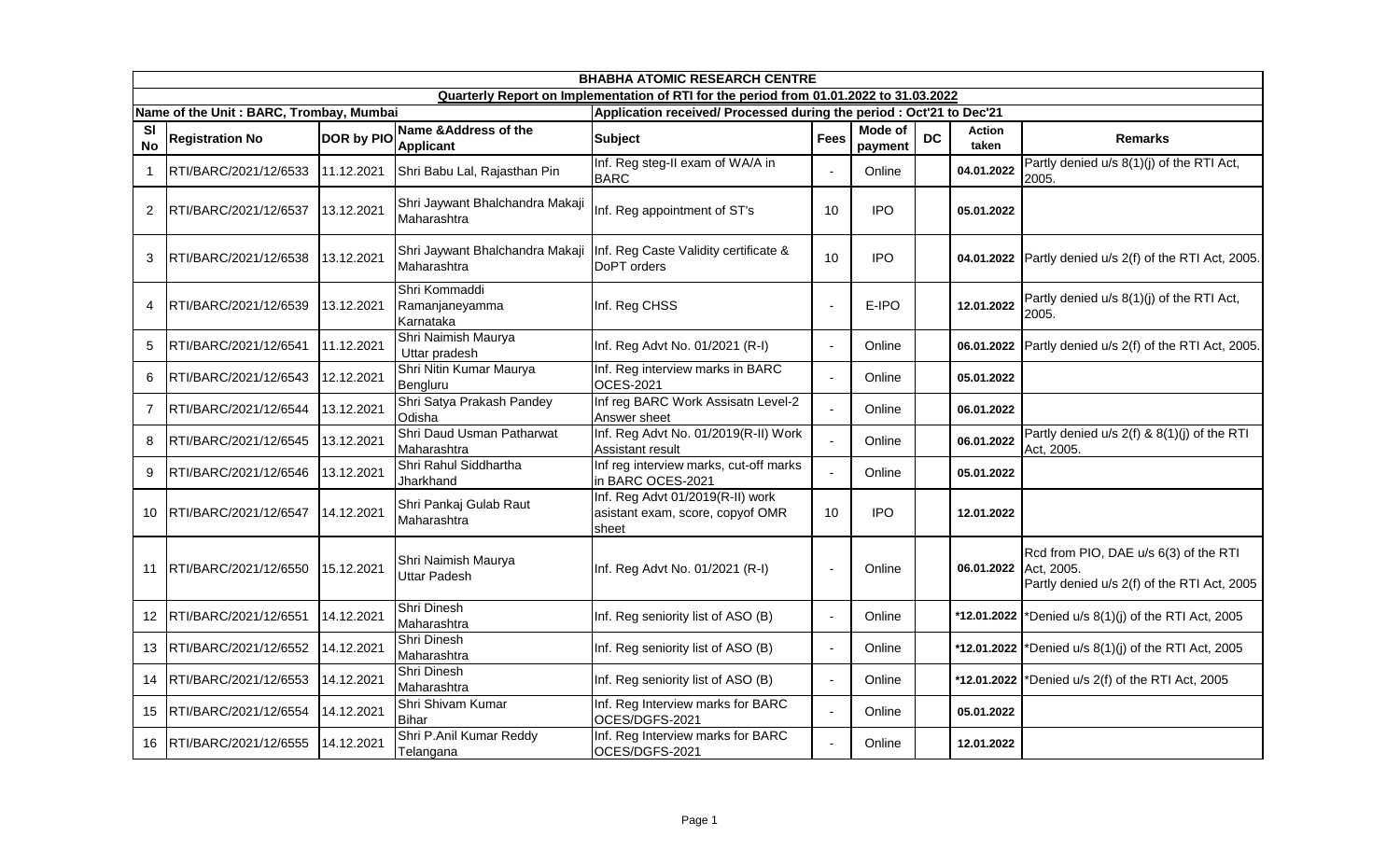|                 | <b>BHABHA ATOMIC RESEARCH CENTRE</b>    |                   |                                                |                                                                                        |                          |                    |           |                        |                                                                                                    |  |  |
|-----------------|-----------------------------------------|-------------------|------------------------------------------------|----------------------------------------------------------------------------------------|--------------------------|--------------------|-----------|------------------------|----------------------------------------------------------------------------------------------------|--|--|
|                 |                                         |                   |                                                | Quarterly Report on Implementation of RTI for the period from 01.01.2022 to 31.03.2022 |                          |                    |           |                        |                                                                                                    |  |  |
|                 | Name of the Unit: BARC, Trombay, Mumbai |                   |                                                | Application received/ Processed during the period : Oct'21 to Dec'21                   |                          |                    |           |                        |                                                                                                    |  |  |
| SI<br><b>No</b> | <b>Registration No</b>                  | <b>DOR by PIO</b> | Name & Address of the<br><b>Applicant</b>      | <b>Subject</b>                                                                         | Fees                     | Mode of<br>payment | <b>DC</b> | <b>Action</b><br>taken | <b>Remarks</b>                                                                                     |  |  |
| 1               | RTI/BARC/2021/12/6533                   | 11.12.2021        | Shri Babu Lal, Rajasthan Pin                   | Inf. Reg steg-II exam of WA/A in<br><b>BARC</b>                                        | $\blacksquare$           | Online             |           | 04.01.2022             | Partly denied u/s 8(1)(j) of the RTI Act,<br>2005.                                                 |  |  |
| $\overline{c}$  | RTI/BARC/2021/12/6537                   | 13.12.2021        | Shri Jaywant Bhalchandra Makaji<br>Maharashtra | Inf. Reg appointment of ST's                                                           | 10                       | <b>IPO</b>         |           | 05.01.2022             |                                                                                                    |  |  |
| 3               | RTI/BARC/2021/12/6538                   | 13.12.2021        | Shri Jaywant Bhalchandra Makaji<br>Maharashtra | Inf. Reg Caste Validity certificate &<br>DoPT orders                                   | 10                       | <b>IPO</b>         |           | 04.01.2022             | Partly denied u/s 2(f) of the RTI Act, 2005.                                                       |  |  |
| 4               | RTI/BARC/2021/12/6539                   | 13.12.2021        | Shri Kommaddi<br>Ramanjaneyamma<br>Karnataka   | Inf. Reg CHSS                                                                          | $\overline{\phantom{a}}$ | E-IPO              |           | 12.01.2022             | Partly denied u/s 8(1)(j) of the RTI Act,<br>2005.                                                 |  |  |
| 5               | RTI/BARC/2021/12/6541                   | 11.12.2021        | Shri Naimish Maurya<br>Uttar pradesh           | Inf. Reg Advt No. 01/2021 (R-I)                                                        | $\Delta$                 | Online             |           | 06.01.2022             | Partly denied u/s 2(f) of the RTI Act, 2005.                                                       |  |  |
| 6               | RTI/BARC/2021/12/6543                   | 12.12.2021        | Shri Nitin Kumar Maurya<br>Bengluru            | Inf. Reg interview marks in BARC<br>OCES-2021                                          | $\blacksquare$           | Online             |           | 05.01.2022             |                                                                                                    |  |  |
| 7               | RTI/BARC/2021/12/6544                   | 13.12.2021        | Shri Satya Prakash Pandey<br>Odisha            | Inf reg BARC Work Assisatn Level-2<br>Answer sheet                                     | L.                       | Online             |           | 06.01.2022             |                                                                                                    |  |  |
| 8               | RTI/BARC/2021/12/6545                   | 13.12.2021        | Shri Daud Usman Patharwat<br>Maharashtra       | Inf. Reg Advt No. 01/2019(R-II) Work<br>Assistant result                               | $\overline{a}$           | Online             |           | 06.01.2022             | Partly denied u/s 2(f) & 8(1)(j) of the RTI<br>Act, 2005.                                          |  |  |
| 9               | RTI/BARC/2021/12/6546                   | 13.12.2021        | Shri Rahul Siddhartha<br>Jharkhand             | Inf reg interview marks, cut-off marks<br>in BARC OCES-2021                            | L.                       | Online             |           | 05.01.2022             |                                                                                                    |  |  |
| 10              | RTI/BARC/2021/12/6547                   | 14.12.2021        | Shri Pankaj Gulab Raut<br>Maharashtra          | Inf. Reg Advt 01/2019(R-II) work<br>asistant exam, score, copyof OMR<br>sheet          | 10                       | <b>IPO</b>         |           | 12.01.2022             |                                                                                                    |  |  |
| 11              | RTI/BARC/2021/12/6550                   | 15.12.2021        | Shri Naimish Maurya<br><b>Uttar Padesh</b>     | Inf. Reg Advt No. 01/2021 (R-I)                                                        | $\blacksquare$           | Online             |           | 06.01.2022             | Rcd from PIO, DAE u/s 6(3) of the RTI<br>Act, 2005.<br>Partly denied u/s 2(f) of the RTI Act, 2005 |  |  |
| 12              | RTI/BARC/2021/12/6551                   | 14.12.2021        | Shri Dinesh<br>Maharashtra                     | Inf. Reg seniority list of ASO (B)                                                     | $\blacksquare$           | Online             |           | *12.01.2022            | *Denied u/s 8(1)(j) of the RTI Act, 2005                                                           |  |  |
| 13              | RTI/BARC/2021/12/6552                   | 14.12.2021        | Shri Dinesh<br>Maharashtra                     | Inf. Reg seniority list of ASO (B)                                                     | $\Delta$                 | Online             |           | *12.01.2022            | *Denied u/s 8(1)(j) of the RTI Act, 2005                                                           |  |  |
| 14              | RTI/BARC/2021/12/6553                   | 14.12.2021        | Shri Dinesh<br>Maharashtra                     | Inf. Reg seniority list of ASO (B)                                                     | $\sim$                   | Online             |           | *12.01.2022            | *Denied u/s 2(f) of the RTI Act, 2005                                                              |  |  |
| 15              | RTI/BARC/2021/12/6554                   | 14.12.2021        | Shri Shivam Kumar<br><b>Bihar</b>              | Inf. Reg Interview marks for BARC<br>OCES/DGFS-2021                                    | $\blacksquare$           | Online             |           | 05.01.2022             |                                                                                                    |  |  |
| 16              | RTI/BARC/2021/12/6555                   | 14.12.2021        | Shri P.Anil Kumar Reddy<br>Telangana           | Inf. Reg Interview marks for BARC<br>OCES/DGFS-2021                                    | $\blacksquare$           | Online             |           | 12.01.2022             |                                                                                                    |  |  |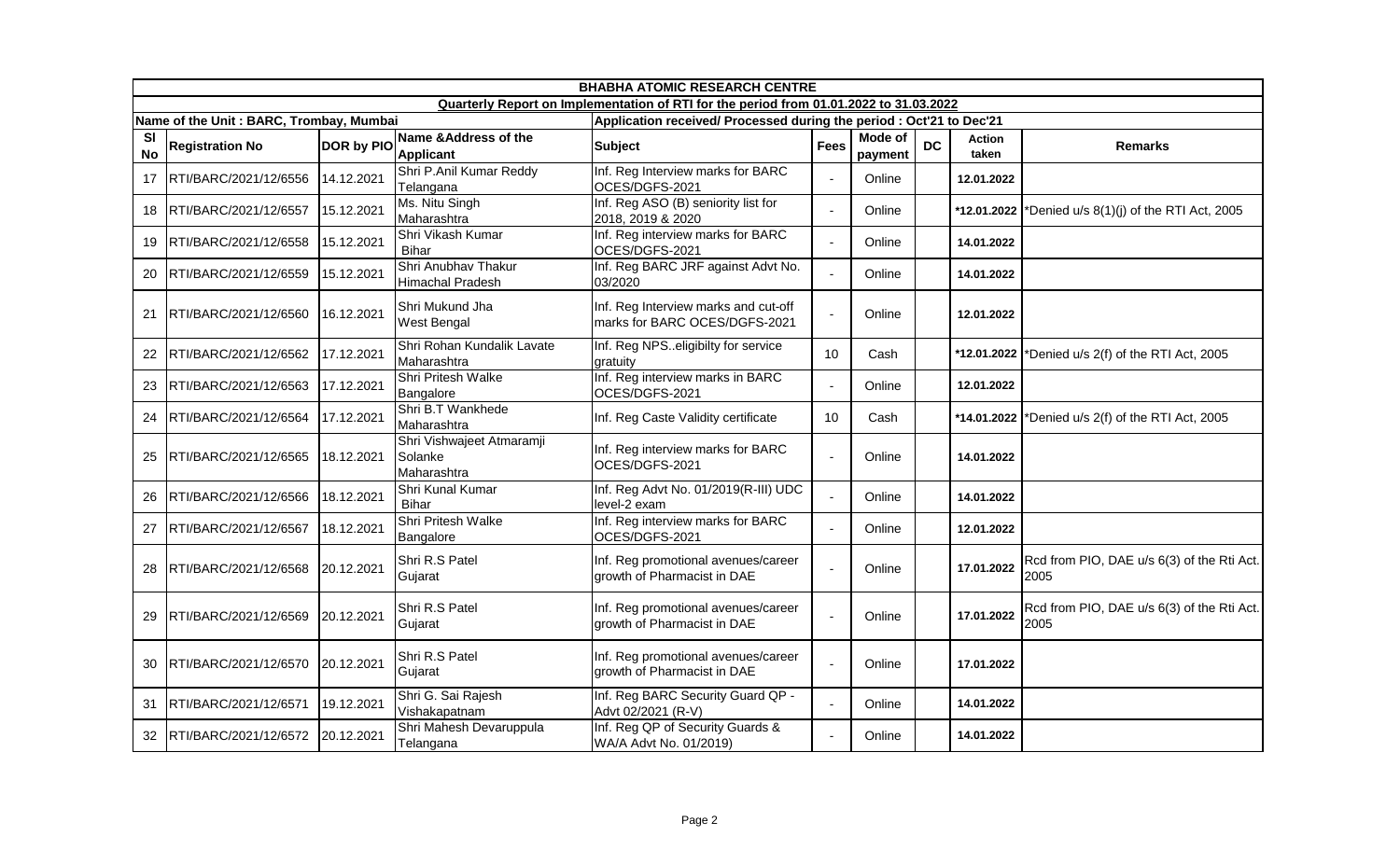|                        | <b>BHABHA ATOMIC RESEARCH CENTRE</b>    |                   |                                                     |                                                                                        |                |                           |           |                        |                                                    |  |  |
|------------------------|-----------------------------------------|-------------------|-----------------------------------------------------|----------------------------------------------------------------------------------------|----------------|---------------------------|-----------|------------------------|----------------------------------------------------|--|--|
|                        |                                         |                   |                                                     | Quarterly Report on Implementation of RTI for the period from 01.01.2022 to 31.03.2022 |                |                           |           |                        |                                                    |  |  |
|                        | Name of the Unit: BARC, Trombay, Mumbai |                   |                                                     | Application received/ Processed during the period : Oct'21 to Dec'21                   |                |                           |           |                        |                                                    |  |  |
| <b>SI</b><br><b>No</b> | <b>Registration No</b>                  | <b>DOR by PIO</b> | Name & Address of the<br><b>Applicant</b>           | <b>Subject</b>                                                                         | <b>Fees</b>    | <b>Mode of</b><br>payment | <b>DC</b> | <b>Action</b><br>taken | <b>Remarks</b>                                     |  |  |
| 17                     | RTI/BARC/2021/12/6556                   | 14.12.2021        | Shri P.Anil Kumar Reddy<br>Telangana                | Inf. Reg Interview marks for BARC<br>OCES/DGFS-2021                                    | $\blacksquare$ | Online                    |           | 12.01.2022             |                                                    |  |  |
| 18                     | RTI/BARC/2021/12/6557                   | 15.12.2021        | Ms. Nitu Singh<br>Maharashtra                       | Inf. Reg ASO (B) seniority list for<br>2018, 2019 & 2020                               | $\mathbf{r}$   | Online                    |           | *12.01.2022            | *Denied u/s 8(1)(j) of the RTI Act, 2005           |  |  |
| 19                     | RTI/BARC/2021/12/6558                   | 15.12.2021        | Shri Vikash Kumar<br><b>Bihar</b>                   | Inf. Reg interview marks for BARC<br>OCES/DGFS-2021                                    | $\blacksquare$ | Online                    |           | 14.01.2022             |                                                    |  |  |
| 20                     | RTI/BARC/2021/12/6559                   | 15.12.2021        | Shri Anubhav Thakur<br><b>Himachal Pradesh</b>      | Inf. Reg BARC JRF against Advt No.<br>03/2020                                          | $\overline{a}$ | Online                    |           | 14.01.2022             |                                                    |  |  |
| 21                     | RTI/BARC/2021/12/6560                   | 16.12.2021        | Shri Mukund Jha<br><b>West Bengal</b>               | Inf. Reg Interview marks and cut-off<br>marks for BARC OCES/DGFS-2021                  | $\blacksquare$ | Online                    |           | 12.01.2022             |                                                    |  |  |
| 22                     | RTI/BARC/2021/12/6562                   | 17.12.2021        | Shri Rohan Kundalik Lavate<br>Maharashtra           | Inf. Reg NPSeligibilty for service<br>aratuitv                                         | 10             | Cash                      |           | *12.01.2022            | *Denied u/s 2(f) of the RTI Act, 2005              |  |  |
| 23                     | RTI/BARC/2021/12/6563                   | 17.12.2021        | Shri Pritesh Walke<br>Bangalore                     | Inf. Reg interview marks in BARC<br>OCES/DGFS-2021                                     | $\blacksquare$ | Online                    |           | 12.01.2022             |                                                    |  |  |
| 24                     | RTI/BARC/2021/12/6564                   | 17.12.2021        | Shri B.T Wankhede<br>Maharashtra                    | Inf. Reg Caste Validity certificate                                                    | 10             | Cash                      |           | *14.01.2022            | *Denied u/s 2(f) of the RTI Act, 2005              |  |  |
| 25                     | RTI/BARC/2021/12/6565                   | 18.12.2021        | Shri Vishwajeet Atmaramji<br>Solanke<br>Maharashtra | Inf. Reg interview marks for BARC<br>OCES/DGFS-2021                                    | $\blacksquare$ | Online                    |           | 14.01.2022             |                                                    |  |  |
| 26                     | RTI/BARC/2021/12/6566                   | 18.12.2021        | Shri Kunal Kumar<br><b>Bihar</b>                    | Inf. Reg Advt No. 01/2019(R-III) UDC<br>level-2 exam                                   | $\mathbf{r}$   | Online                    |           | 14.01.2022             |                                                    |  |  |
| 27                     | RTI/BARC/2021/12/6567                   | 18.12.2021        | Shri Pritesh Walke<br>Bangalore                     | Inf. Reg interview marks for BARC<br>OCES/DGFS-2021                                    | $\blacksquare$ | Online                    |           | 12.01.2022             |                                                    |  |  |
| 28                     | RTI/BARC/2021/12/6568                   | 20.12.2021        | Shri R.S Patel<br>Gujarat                           | Inf. Reg promotional avenues/career<br>growth of Pharmacist in DAE                     | $\overline{a}$ | Online                    |           | 17.01.2022             | Rcd from PIO, DAE u/s 6(3) of the Rti Act.<br>2005 |  |  |
| 29                     | RTI/BARC/2021/12/6569                   | 20.12.2021        | Shri R.S Patel<br>Gujarat                           | Inf. Reg promotional avenues/career<br>growth of Pharmacist in DAE                     | $\overline{a}$ | Online                    |           | 17.01.2022             | Rcd from PIO, DAE u/s 6(3) of the Rti Act.<br>2005 |  |  |
| 30                     | RTI/BARC/2021/12/6570                   | 20.12.2021        | Shri R.S Patel<br>Gujarat                           | Inf. Reg promotional avenues/career<br>growth of Pharmacist in DAE                     | $\blacksquare$ | Online                    |           | 17.01.2022             |                                                    |  |  |
| 31                     | RTI/BARC/2021/12/6571                   | 19.12.2021        | Shri G. Sai Rajesh<br>Vishakapatnam                 | Inf. Reg BARC Security Guard QP -<br>Advt 02/2021 (R-V)                                | $\blacksquare$ | Online                    |           | 14.01.2022             |                                                    |  |  |
| 32                     | RTI/BARC/2021/12/6572                   | 20.12.2021        | Shri Mahesh Devaruppula<br>Telangana                | Inf. Reg QP of Security Guards &<br>WA/A Advt No. 01/2019)                             | $\mathbf{r}$   | Online                    |           | 14.01.2022             |                                                    |  |  |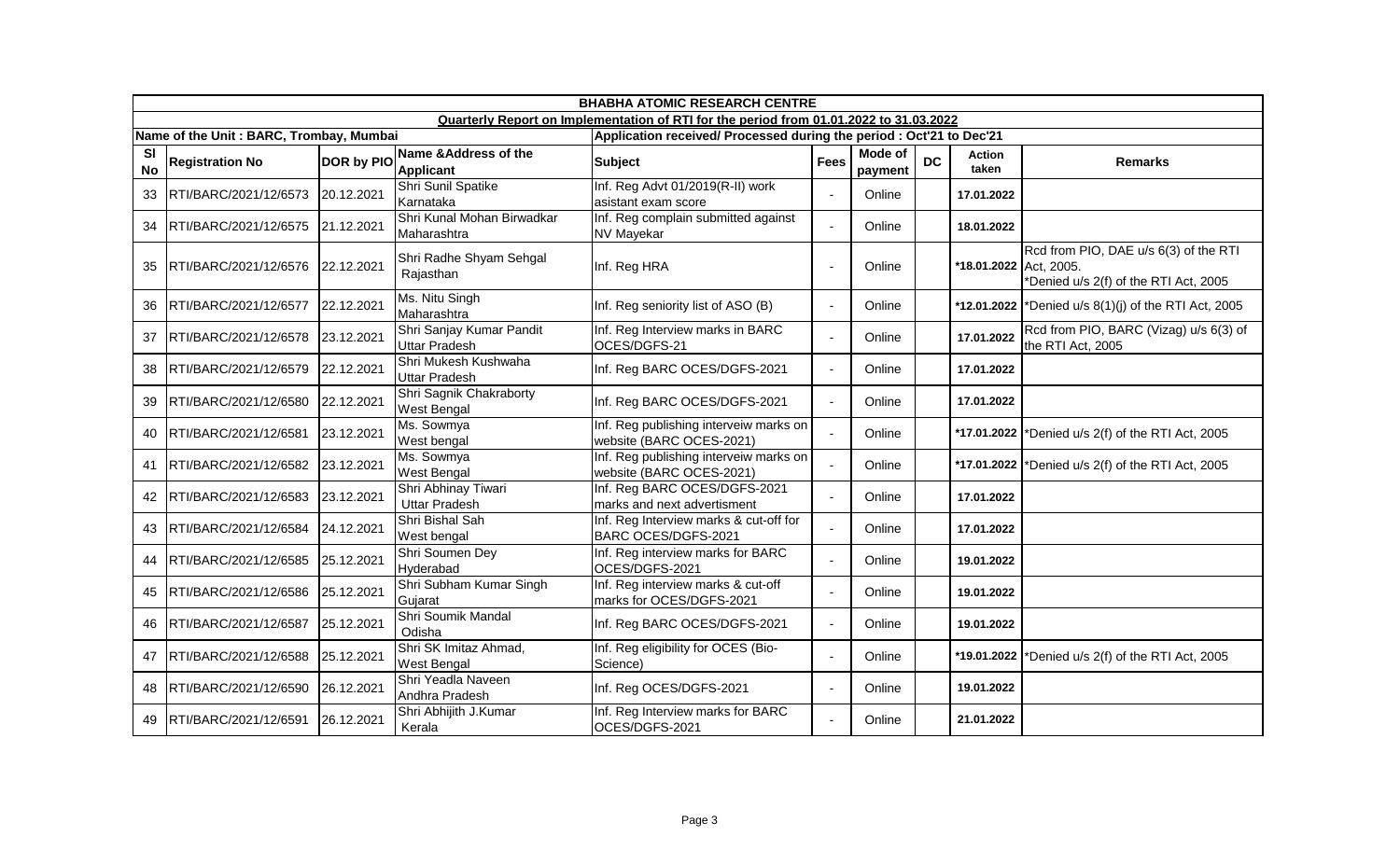|                        | <b>BHABHA ATOMIC RESEARCH CENTRE</b>    |            |                                                  |                                                                                        |                |                    |           |                        |                                                                                |  |  |
|------------------------|-----------------------------------------|------------|--------------------------------------------------|----------------------------------------------------------------------------------------|----------------|--------------------|-----------|------------------------|--------------------------------------------------------------------------------|--|--|
|                        |                                         |            |                                                  | Quarterly Report on Implementation of RTI for the period from 01.01.2022 to 31.03.2022 |                |                    |           |                        |                                                                                |  |  |
|                        | Name of the Unit: BARC, Trombay, Mumbai |            |                                                  | Application received/ Processed during the period : Oct'21 to Dec'21                   |                |                    |           |                        |                                                                                |  |  |
| <b>SI</b><br><b>No</b> | <b>Registration No</b>                  | DOR by PIO | Name & Address of the<br><b>Applicant</b>        | <b>Subject</b>                                                                         | <b>Fees</b>    | Mode of<br>payment | <b>DC</b> | Action<br>taken        | <b>Remarks</b>                                                                 |  |  |
| 33                     | RTI/BARC/2021/12/6573                   | 20.12.2021 | Shri Sunil Spatike<br>Karnataka                  | Inf. Reg Advt 01/2019(R-II) work<br>asistant exam score                                | $\blacksquare$ | Online             |           | 17.01.2022             |                                                                                |  |  |
| 34                     | RTI/BARC/2021/12/6575                   | 21.12.2021 | Shri Kunal Mohan Birwadkar<br>Maharashtra        | Inf. Reg complain submitted against<br><b>NV Mayekar</b>                               | $\mathbf{r}$   | Online             |           | 18.01.2022             |                                                                                |  |  |
| 35                     | RTI/BARC/2021/12/6576                   | 22.12.2021 | Shri Radhe Shyam Sehgal<br>Rajasthan             | Inf. Reg HRA                                                                           | $\blacksquare$ | Online             |           | *18.01.2022 Act, 2005. | Rcd from PIO, DAE u/s 6(3) of the RTI<br>*Denied u/s 2(f) of the RTI Act, 2005 |  |  |
| 36                     | RTI/BARC/2021/12/6577                   | 22.12.2021 | Ms. Nitu Singh<br>Maharashtra                    | Inf. Reg seniority list of ASO (B)                                                     | $\sim$         | Online             |           |                        | *12.01.2022  *Denied u/s $8(1)(j)$ of the RTI Act, 2005                        |  |  |
| 37                     | RTI/BARC/2021/12/6578                   | 23.12.2021 | Shri Sanjay Kumar Pandit<br><b>Uttar Pradesh</b> | Inf. Reg Interview marks in BARC<br>OCES/DGFS-21                                       | $\blacksquare$ | Online             |           | 17.01.2022             | Rcd from PIO, BARC (Vizag) u/s 6(3) of<br>the RTI Act, 2005                    |  |  |
| 38                     | RTI/BARC/2021/12/6579                   | 22.12.2021 | Shri Mukesh Kushwaha<br><b>Uttar Pradesh</b>     | Inf. Reg BARC OCES/DGFS-2021                                                           | $\blacksquare$ | Online             |           | 17.01.2022             |                                                                                |  |  |
| 39                     | RTI/BARC/2021/12/6580                   | 22.12.2021 | Shri Sagnik Chakraborty<br>West Bengal           | Inf. Reg BARC OCES/DGFS-2021                                                           | $\mathbf{r}$   | Online             |           | 17.01.2022             |                                                                                |  |  |
| 40                     | RTI/BARC/2021/12/6581                   | 23.12.2021 | Ms. Sowmya<br>West bengal                        | Inf. Reg publishing interveiw marks on<br>website (BARC OCES-2021)                     | $\overline{a}$ | Online             |           | *17.01.2022            | *Denied u/s 2(f) of the RTI Act, 2005                                          |  |  |
| 41                     | <b>IRTI/BARC/2021/12/6582</b>           | 23.12.2021 | Ms. Sowmya<br><b>West Bengal</b>                 | Inf. Reg publishing interveiw marks on<br>website (BARC OCES-2021)                     | $\blacksquare$ | Online             |           | *17.01.2022            | *Denied u/s 2(f) of the RTI Act, 2005                                          |  |  |
| 42                     | RTI/BARC/2021/12/6583                   | 23.12.2021 | Shri Abhinay Tiwari<br><b>Uttar Pradesh</b>      | Inf. Reg BARC OCES/DGFS-2021<br>marks and next advertisment                            | $\overline{a}$ | Online             |           | 17.01.2022             |                                                                                |  |  |
| 43                     | RTI/BARC/2021/12/6584                   | 24.12.2021 | Shri Bishal Sah<br>West bengal                   | Inf. Reg Interview marks & cut-off for<br>BARC OCES/DGFS-2021                          | $\overline{a}$ | Online             |           | 17.01.2022             |                                                                                |  |  |
| 44                     | RTI/BARC/2021/12/6585                   | 25.12.2021 | Shri Soumen Dey<br>Hyderabad                     | Inf. Reg interview marks for BARC<br>OCES/DGFS-2021                                    | $\mathbf{r}$   | Online             |           | 19.01.2022             |                                                                                |  |  |
| 45                     | RTI/BARC/2021/12/6586                   | 25.12.2021 | Shri Subham Kumar Singh<br>Gujarat               | Inf. Reg interview marks & cut-off<br>marks for OCES/DGFS-2021                         | $\blacksquare$ | Online             |           | 19.01.2022             |                                                                                |  |  |
| 46                     | RTI/BARC/2021/12/6587                   | 25.12.2021 | Shri Soumik Mandal<br>Odisha                     | Inf. Reg BARC OCES/DGFS-2021                                                           | $\blacksquare$ | Online             |           | 19.01.2022             |                                                                                |  |  |
| 47                     | RTI/BARC/2021/12/6588                   | 25.12.2021 | Shri SK Imitaz Ahmad,<br><b>West Bengal</b>      | Inf. Reg eligibility for OCES (Bio-<br>Science)                                        | $\mathbf{r}$   | Online             |           | *19.01.2022            | *Denied u/s 2(f) of the RTI Act, 2005                                          |  |  |
| 48                     | RTI/BARC/2021/12/6590                   | 26.12.2021 | Shri Yeadla Naveen<br>Andhra Pradesh             | Inf. Reg OCES/DGFS-2021                                                                | $\sim$         | Online             |           | 19.01.2022             |                                                                                |  |  |
| 49                     | RTI/BARC/2021/12/6591                   | 26.12.2021 | Shri Abhijith J.Kumar<br>Kerala                  | Inf. Reg Interview marks for BARC<br>OCES/DGFS-2021                                    | $\mathbf{r}$   | Online             |           | 21.01.2022             |                                                                                |  |  |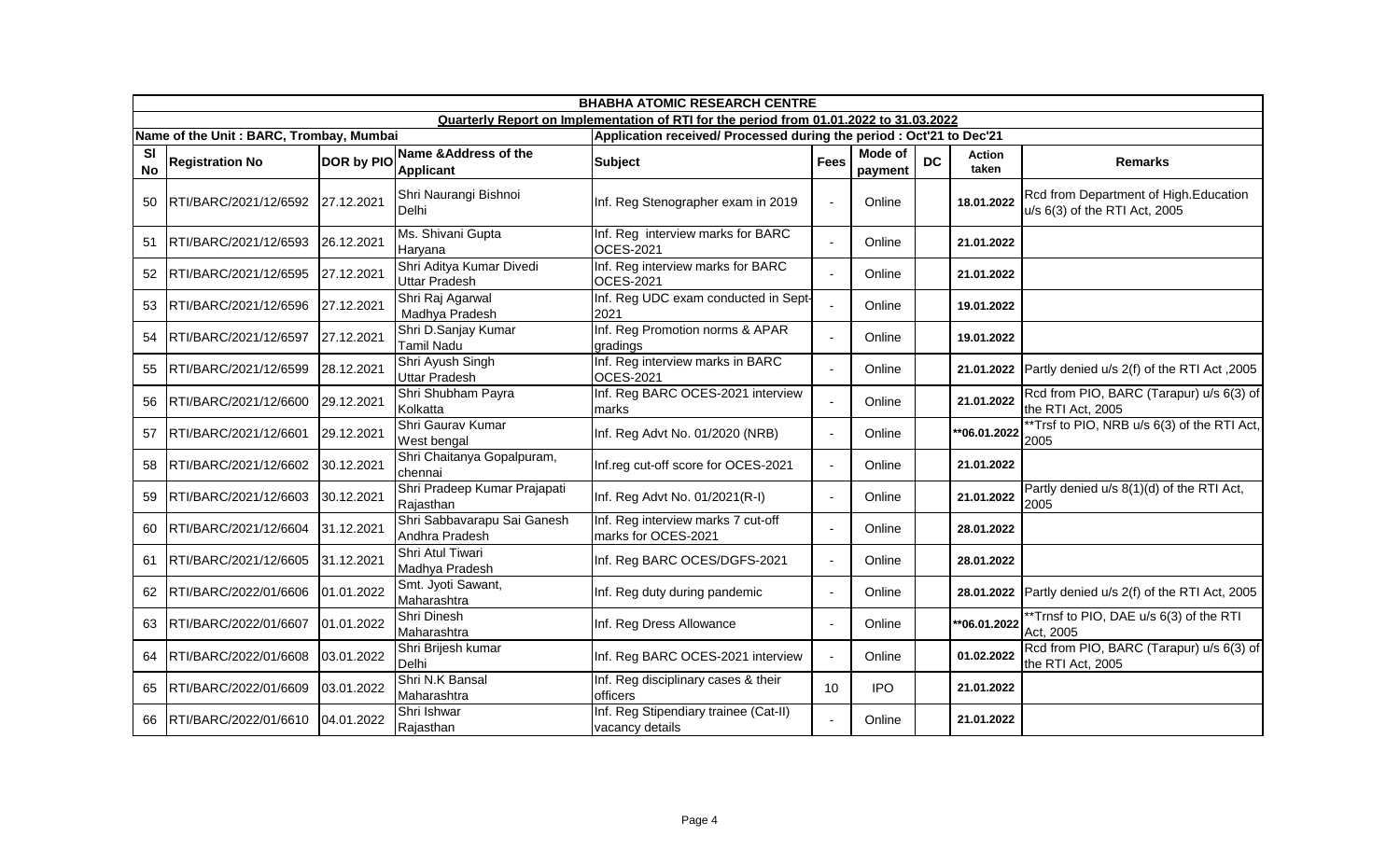|                        | <b>BHABHA ATOMIC RESEARCH CENTRE</b>    |                   |                                                  |                                                                                        |                |                    |           |                 |                                                                        |  |  |
|------------------------|-----------------------------------------|-------------------|--------------------------------------------------|----------------------------------------------------------------------------------------|----------------|--------------------|-----------|-----------------|------------------------------------------------------------------------|--|--|
|                        |                                         |                   |                                                  | Quarterly Report on Implementation of RTI for the period from 01.01.2022 to 31.03.2022 |                |                    |           |                 |                                                                        |  |  |
|                        | Name of the Unit: BARC, Trombay, Mumbai |                   |                                                  | Application received/ Processed during the period : Oct'21 to Dec'21                   |                |                    |           |                 |                                                                        |  |  |
| <b>SI</b><br><b>No</b> | <b>Registration No</b>                  | <b>DOR by PIO</b> | Name & Address of the<br><b>Applicant</b>        | <b>Subject</b>                                                                         | <b>Fees</b>    | Mode of<br>payment | <b>DC</b> | Action<br>taken | <b>Remarks</b>                                                         |  |  |
| 50                     | RTI/BARC/2021/12/6592                   | 27.12.2021        | Shri Naurangi Bishnoi<br>Delhi                   | Inf. Reg Stenographer exam in 2019                                                     | $\sim$         | Online             |           | 18.01.2022      | Rcd from Department of High.Education<br>u/s 6(3) of the RTI Act, 2005 |  |  |
| 51                     | RTI/BARC/2021/12/6593                   | 26.12.2021        | Ms. Shivani Gupta<br>Haryana                     | Inf. Reg interview marks for BARC<br><b>OCES-2021</b>                                  | $\mathbf{r}$   | Online             |           | 21.01.2022      |                                                                        |  |  |
| 52                     | RTI/BARC/2021/12/6595                   | 27.12.2021        | Shri Aditya Kumar Divedi<br><b>Uttar Pradesh</b> | Inf. Reg interview marks for BARC<br><b>OCES-2021</b>                                  | $\mathbf{r}$   | Online             |           | 21.01.2022      |                                                                        |  |  |
| 53                     | RTI/BARC/2021/12/6596                   | 27.12.2021        | Shri Raj Agarwal<br>Madhya Pradesh               | Inf. Reg UDC exam conducted in Sept-<br>2021                                           | $\mathbf{r}$   | Online             |           | 19.01.2022      |                                                                        |  |  |
| 54                     | RTI/BARC/2021/12/6597                   | 27.12.2021        | Shri D.Sanjay Kumar<br><b>Tamil Nadu</b>         | Inf. Reg Promotion norms & APAR<br>gradings                                            | $\mathbf{r}$   | Online             |           | 19.01.2022      |                                                                        |  |  |
| 55                     | RTI/BARC/2021/12/6599                   | 28.12.2021        | Shri Ayush Singh<br><b>Uttar Pradesh</b>         | Inf. Reg interview marks in BARC<br><b>OCES-2021</b>                                   | $\overline{a}$ | Online             |           | 21.01.2022      | Partly denied u/s 2(f) of the RTI Act, 2005                            |  |  |
| 56                     | RTI/BARC/2021/12/6600                   | 29.12.2021        | Shri Shubham Payra<br>Kolkatta                   | Inf. Reg BARC OCES-2021 interview<br>marks                                             | $\mathbf{r}$   | Online             |           | 21.01.2022      | Rcd from PIO, BARC (Tarapur) u/s 6(3) of<br>the RTI Act, 2005          |  |  |
| 57                     | RTI/BARC/2021/12/6601                   | 29.12.2021        | Shri Gaurav Kumar<br>West bengal                 | Inf. Reg Advt No. 01/2020 (NRB)                                                        | $\blacksquare$ | Online             |           | **06.01.2022    | **Trsf to PIO, NRB u/s 6(3) of the RTI Act,<br>2005                    |  |  |
| 58                     | RTI/BARC/2021/12/6602                   | 30.12.2021        | Shri Chaitanya Gopalpuram,<br>chennai            | Inf.reg cut-off score for OCES-2021                                                    | $\mathbf{r}$   | Online             |           | 21.01.2022      |                                                                        |  |  |
| 59                     | RTI/BARC/2021/12/6603                   | 30.12.2021        | Shri Pradeep Kumar Prajapati<br>Rajasthan        | Inf. Reg Advt No. 01/2021(R-I)                                                         | $\blacksquare$ | Online             |           | 21.01.2022      | Partly denied u/s 8(1)(d) of the RTI Act,<br>2005                      |  |  |
| 60                     | RTI/BARC/2021/12/6604                   | 31.12.2021        | Shri Sabbavarapu Sai Ganesh<br>Andhra Pradesh    | Inf. Reg interview marks 7 cut-off<br>marks for OCES-2021                              | $\blacksquare$ | Online             |           | 28.01.2022      |                                                                        |  |  |
| 61                     | RTI/BARC/2021/12/6605                   | 31.12.2021        | Shri Atul Tiwari<br>Madhya Pradesh               | Inf. Reg BARC OCES/DGFS-2021                                                           | $\blacksquare$ | Online             |           | 28.01.2022      |                                                                        |  |  |
| 62                     | RTI/BARC/2022/01/6606                   | 01.01.2022        | Smt. Jyoti Sawant,<br>Maharashtra                | Inf. Reg duty during pandemic                                                          | $\blacksquare$ | Online             |           | 28.01.2022      | Partly denied u/s 2(f) of the RTI Act, 2005                            |  |  |
| 63                     | RTI/BARC/2022/01/6607                   | 01.01.2022        | Shri Dinesh<br>Maharashtra                       | Inf. Reg Dress Allowance                                                               | $\blacksquare$ | Online             |           | **06.01.2022    | **Trnsf to PIO, DAE u/s 6(3) of the RTI<br>Act, 2005                   |  |  |
| 64                     | RTI/BARC/2022/01/6608                   | 03.01.2022        | Shri Brijesh kumar<br>Delhi                      | Inf. Reg BARC OCES-2021 interview                                                      | $\blacksquare$ | Online             |           | 01.02.2022      | Rcd from PIO, BARC (Tarapur) u/s 6(3) of<br>the RTI Act, 2005          |  |  |
| 65                     | RTI/BARC/2022/01/6609                   | 03.01.2022        | Shri N.K Bansal<br>Maharashtra                   | Inf. Reg disciplinary cases & their<br>officers                                        | 10             | <b>IPO</b>         |           | 21.01.2022      |                                                                        |  |  |
| 66                     | RTI/BARC/2022/01/6610                   | 04.01.2022        | Shri Ishwar<br>Rajasthan                         | Inf. Reg Stipendiary trainee (Cat-II)<br>vacancy details                               | $\blacksquare$ | Online             |           | 21.01.2022      |                                                                        |  |  |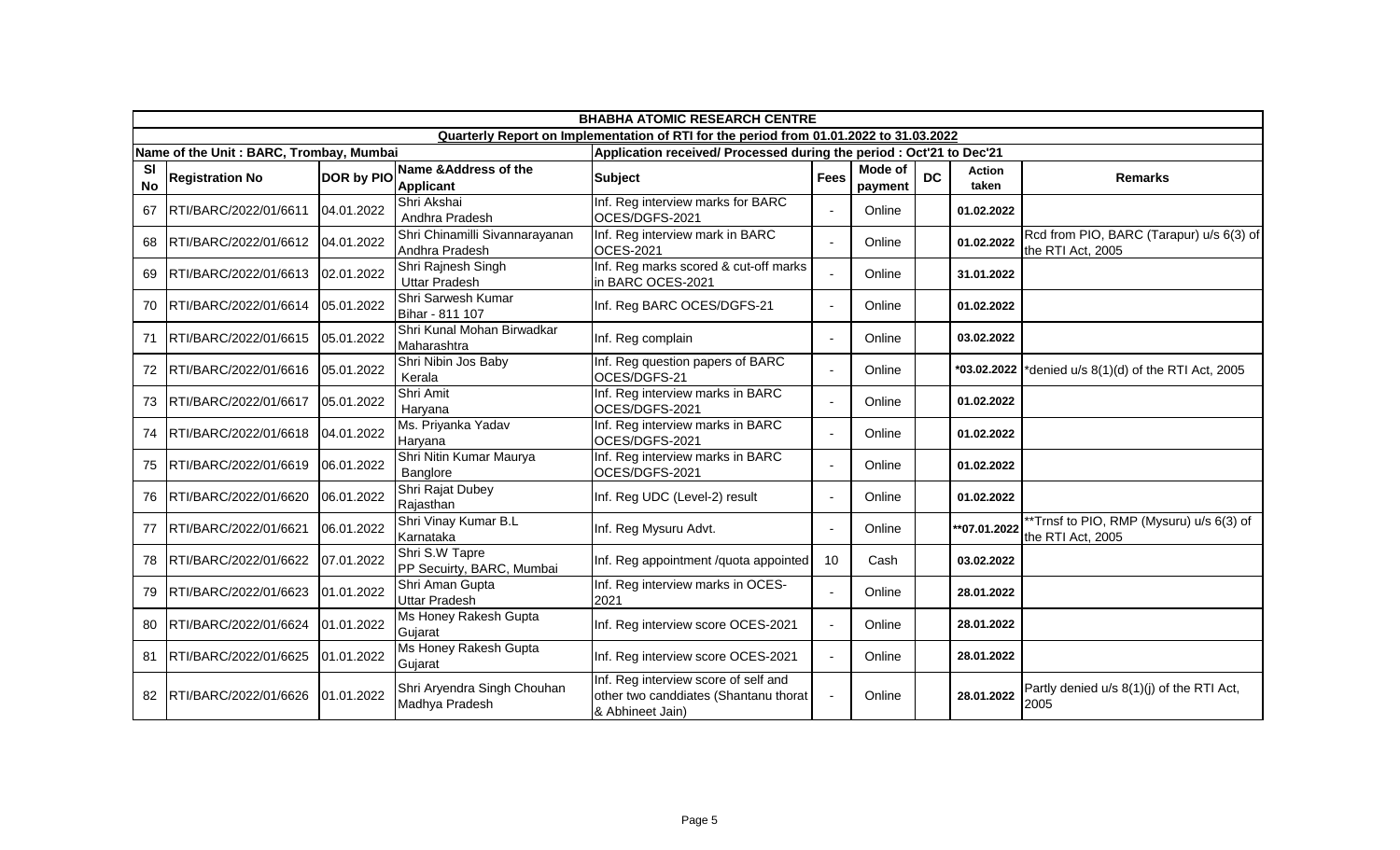|                        | <b>BHABHA ATOMIC RESEARCH CENTRE</b>    |                   |                                                  |                                                                                                   |                |                    |           |                 |                                                               |  |  |
|------------------------|-----------------------------------------|-------------------|--------------------------------------------------|---------------------------------------------------------------------------------------------------|----------------|--------------------|-----------|-----------------|---------------------------------------------------------------|--|--|
|                        |                                         |                   |                                                  | Quarterly Report on Implementation of RTI for the period from 01.01.2022 to 31.03.2022            |                |                    |           |                 |                                                               |  |  |
|                        | Name of the Unit: BARC, Trombay, Mumbai |                   |                                                  | Application received/ Processed during the period : Oct'21 to Dec'21                              |                |                    |           |                 |                                                               |  |  |
| <b>SI</b><br><b>No</b> | <b>Registration No</b>                  | <b>DOR by PIO</b> | Name & Address of the<br><b>Applicant</b>        | <b>Subject</b>                                                                                    | <b>Fees</b>    | Mode of<br>payment | <b>DC</b> | Action<br>taken | <b>Remarks</b>                                                |  |  |
| 67                     | RTI/BARC/2022/01/6611                   | 04.01.2022        | Shri Akshai<br>Andhra Pradesh                    | Inf. Reg interview marks for BARC<br>OCES/DGFS-2021                                               | $\Delta$       | Online             |           | 01.02.2022      |                                                               |  |  |
| 68                     | RTI/BARC/2022/01/6612                   | 04.01.2022        | Shri Chinamilli Sivannarayanan<br>Andhra Pradesh | Inf. Reg interview mark in BARC<br><b>OCES-2021</b>                                               | $\Delta$       | Online             |           | 01.02.2022      | Rcd from PIO, BARC (Tarapur) u/s 6(3) of<br>the RTI Act, 2005 |  |  |
| 69                     | RTI/BARC/2022/01/6613                   | 02.01.2022        | Shri Rajnesh Singh<br><b>Uttar Pradesh</b>       | Inf. Reg marks scored & cut-off marks<br>in BARC OCES-2021                                        | $\overline{a}$ | Online             |           | 31.01.2022      |                                                               |  |  |
| 70                     | RTI/BARC/2022/01/6614                   | 05.01.2022        | Shri Sarwesh Kumar<br>Bihar - 811 107            | Inf. Reg BARC OCES/DGFS-21                                                                        | $\Delta$       | Online             |           | 01.02.2022      |                                                               |  |  |
| 71                     | RTI/BARC/2022/01/6615                   | 05.01.2022        | Shri Kunal Mohan Birwadkar<br>Maharashtra        | Inf. Reg complain                                                                                 | $\sim$         | Online             |           | 03.02.2022      |                                                               |  |  |
| 72                     | RTI/BARC/2022/01/6616                   | 05.01.2022        | Shri Nibin Jos Baby<br>Kerala                    | Inf. Reg question papers of BARC<br>OCES/DGFS-21                                                  | $\sim$         | Online             |           | *03.02.2022     | *denied u/s 8(1)(d) of the RTI Act, 2005                      |  |  |
|                        | RTI/BARC/2022/01/6617                   | 05.01.2022        | Shri Amit<br>Haryana                             | Inf. Reg interview marks in BARC<br>OCES/DGFS-2021                                                | $\sim$         | Online             |           | 01.02.2022      |                                                               |  |  |
| 74                     | RTI/BARC/2022/01/6618                   | 04.01.2022        | Ms. Priyanka Yadav<br>Haryana                    | Inf. Reg interview marks in BARC<br>OCES/DGFS-2021                                                | $\sim$         | Online             |           | 01.02.2022      |                                                               |  |  |
| 75                     | RTI/BARC/2022/01/6619                   | 06.01.2022        | Shri Nitin Kumar Maurya<br>Banglore              | Inf. Reg interview marks in BARC<br>OCES/DGFS-2021                                                | $\blacksquare$ | Online             |           | 01.02.2022      |                                                               |  |  |
| 76                     | RTI/BARC/2022/01/6620                   | 06.01.2022        | Shri Rajat Dubey<br>Rajasthan                    | Inf. Reg UDC (Level-2) result                                                                     | $\blacksquare$ | Online             |           | 01.02.2022      |                                                               |  |  |
| 77                     | RTI/BARC/2022/01/6621                   | 06.01.2022        | Shri Vinay Kumar B.L<br>Karnataka                | Inf. Reg Mysuru Advt.                                                                             | $\Delta$       | Online             |           | **07.01.2022    | *Trnsf to PIO, RMP (Mysuru) u/s 6(3) of<br>the RTI Act, 2005  |  |  |
| 78                     | RTI/BARC/2022/01/6622                   | 07.01.2022        | Shri S.W Tapre<br>PP Secuirty, BARC, Mumbai      | Inf. Reg appointment /quota appointed                                                             | 10             | Cash               |           | 03.02.2022      |                                                               |  |  |
| 79                     | RTI/BARC/2022/01/6623                   | 01.01.2022        | Shri Aman Gupta<br><b>Uttar Pradesh</b>          | Inf. Reg interview marks in OCES-<br>2021                                                         | $\blacksquare$ | Online             |           | 28.01.2022      |                                                               |  |  |
| 80                     | RTI/BARC/2022/01/6624                   | 01.01.2022        | Ms Honey Rakesh Gupta<br>Gujarat                 | Inf. Reg interview score OCES-2021                                                                | $\sim$         | Online             |           | 28.01.2022      |                                                               |  |  |
| 81                     | RTI/BARC/2022/01/6625                   | 01.01.2022        | Ms Honey Rakesh Gupta<br>Gujarat                 | Inf. Reg interview score OCES-2021                                                                | $\mathbf{r}$   | Online             |           | 28.01.2022      |                                                               |  |  |
| 82                     | RTI/BARC/2022/01/6626                   | 01.01.2022        | Shri Aryendra Singh Chouhan<br>Madhya Pradesh    | Inf. Reg interview score of self and<br>other two canddiates (Shantanu thorat<br>& Abhineet Jain) | $\overline{a}$ | Online             |           | 28.01.2022      | Partly denied u/s 8(1)(j) of the RTI Act,<br>2005             |  |  |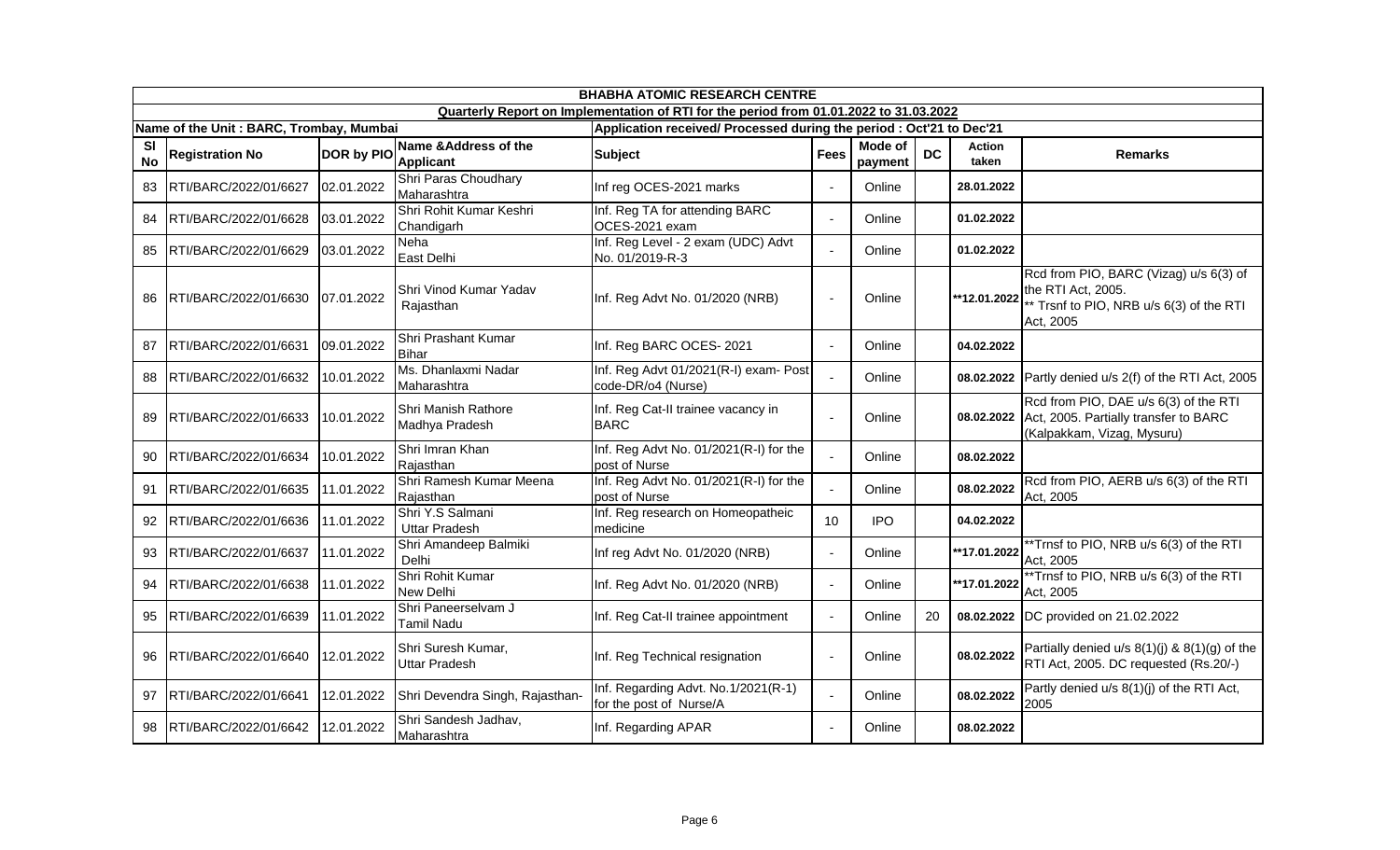|                        | <b>BHABHA ATOMIC RESEARCH CENTRE</b>    |                   |                                            |                                                                                        |                |                    |           |                        |                                                                                                                       |  |  |
|------------------------|-----------------------------------------|-------------------|--------------------------------------------|----------------------------------------------------------------------------------------|----------------|--------------------|-----------|------------------------|-----------------------------------------------------------------------------------------------------------------------|--|--|
|                        |                                         |                   |                                            | Quarterly Report on Implementation of RTI for the period from 01.01.2022 to 31.03.2022 |                |                    |           |                        |                                                                                                                       |  |  |
|                        | Name of the Unit: BARC, Trombay, Mumbai |                   |                                            | Application received/ Processed during the period : Oct'21 to Dec'21                   |                |                    |           |                        |                                                                                                                       |  |  |
| <b>SI</b><br><b>No</b> | <b>Registration No</b>                  | <b>DOR by PIO</b> | Name & Address of the<br><b>Applicant</b>  | <b>Subject</b>                                                                         | <b>Fees</b>    | Mode of<br>payment | <b>DC</b> | <b>Action</b><br>taken | <b>Remarks</b>                                                                                                        |  |  |
| 83                     | RTI/BARC/2022/01/6627                   | 02.01.2022        | Shri Paras Choudhary<br>Maharashtra        | Inf reg OCES-2021 marks                                                                | $\overline{a}$ | Online             |           | 28.01.2022             |                                                                                                                       |  |  |
| 84                     | RTI/BARC/2022/01/6628                   | 03.01.2022        | Shri Rohit Kumar Keshri<br>Chandigarh      | Inf. Reg TA for attending BARC<br>OCES-2021 exam                                       | $\mathbf{r}$   | Online             |           | 01.02.2022             |                                                                                                                       |  |  |
| 85                     | RTI/BARC/2022/01/6629                   | 03.01.2022        | Neha<br>East Delhi                         | Inf. Reg Level - 2 exam (UDC) Advt<br>No. 01/2019-R-3                                  | $\sim$         | Online             |           | 01.02.2022             |                                                                                                                       |  |  |
| 86                     | RTI/BARC/2022/01/6630                   | 07.01.2022        | Shri Vinod Kumar Yadav<br>Rajasthan        | Inf. Reg Advt No. 01/2020 (NRB)                                                        | ÷,             | Online             |           | **12.01.2022           | Rcd from PIO, BARC (Vizag) u/s 6(3) of<br>the RTI Act, 2005.<br>** Trsnf to PIO, NRB u/s 6(3) of the RTI<br>Act, 2005 |  |  |
| 87                     | RTI/BARC/2022/01/6631                   | 09.01.2022        | Shri Prashant Kumar<br>Bihar               | Inf. Reg BARC OCES- 2021                                                               | $\mathbf{r}$   | Online             |           | 04.02.2022             |                                                                                                                       |  |  |
| 88                     | RTI/BARC/2022/01/6632                   | 10.01.2022        | Ms. Dhanlaxmi Nadar<br>Maharashtra         | Inf. Reg Advt 01/2021(R-I) exam- Post<br>code-DR/o4 (Nurse)                            |                | Online             |           | 08.02.2022             | Partly denied u/s 2(f) of the RTI Act, 2005                                                                           |  |  |
| 89.                    | RTI/BARC/2022/01/6633                   | 10.01.2022        | Shri Manish Rathore<br>Madhya Pradesh      | Inf. Reg Cat-II trainee vacancy in<br><b>BARC</b>                                      | $\mathbf{r}$   | Online             |           | 08.02.2022             | Rcd from PIO, DAE u/s 6(3) of the RTI<br>Act, 2005. Partially transfer to BARC<br>(Kalpakkam, Vizag, Mysuru)          |  |  |
| 90                     | RTI/BARC/2022/01/6634                   | 10.01.2022        | Shri Imran Khan<br>Rajasthan               | Inf. Reg Advt No. 01/2021(R-I) for the<br>post of Nurse                                | $\sim$         | Online             |           | 08.02.2022             |                                                                                                                       |  |  |
| 91                     | RTI/BARC/2022/01/6635                   | 11.01.2022        | Shri Ramesh Kumar Meena<br>Rajasthan       | Inf. Reg Advt No. 01/2021(R-I) for the<br>post of Nurse                                | $\overline{a}$ | Online             |           | 08.02.2022             | Rcd from PIO, AERB u/s 6(3) of the RTI<br>Act, 2005                                                                   |  |  |
| 92                     | RTI/BARC/2022/01/6636                   | 11.01.2022        | Shri Y.S Salmani<br><b>Uttar Pradesh</b>   | Inf. Reg research on Homeopatheic<br>medicine                                          | 10             | <b>IPO</b>         |           | 04.02.2022             |                                                                                                                       |  |  |
| 93                     | RTI/BARC/2022/01/6637                   | 11.01.2022        | Shri Amandeep Balmiki<br>Delhi             | Inf reg Advt No. 01/2020 (NRB)                                                         | $\sim$         | Online             |           | **17.01.2022           | **Trnsf to PIO, NRB u/s 6(3) of the RTI<br>Act, 2005                                                                  |  |  |
| 94                     | RTI/BARC/2022/01/6638                   | 11.01.2022        | Shri Rohit Kumar<br><b>New Delhi</b>       | Inf. Reg Advt No. 01/2020 (NRB)                                                        | $\blacksquare$ | Online             |           | **17.01.2022           | **Trnsf to PIO, NRB u/s 6(3) of the RTI<br>Act, 2005                                                                  |  |  |
| 95                     | RTI/BARC/2022/01/6639                   | 11.01.2022        | Shri Paneerselvam J<br>Tamil Nadu          | Inf. Reg Cat-II trainee appointment                                                    | $\blacksquare$ | Online             | 20        | 08.02.2022             | DC provided on 21.02.2022                                                                                             |  |  |
| 96                     | RTI/BARC/2022/01/6640                   | 12.01.2022        | Shri Suresh Kumar,<br><b>Uttar Pradesh</b> | Inf. Reg Technical resignation                                                         | $\blacksquare$ | Online             |           | 08.02.2022             | Partially denied $u/s$ 8(1)(j) & 8(1)(g) of the<br>RTI Act, 2005. DC requested (Rs.20/-)                              |  |  |
| 97                     | RTI/BARC/2022/01/6641                   | 12.01.2022        | Shri Devendra Singh, Rajasthan-            | Inf. Regarding Advt. No.1/2021(R-1)<br>for the post of Nurse/A                         | $\sim$         | Online             |           | 08.02.2022             | Partly denied u/s 8(1)(j) of the RTI Act,<br>2005                                                                     |  |  |
| 98                     | RTI/BARC/2022/01/6642                   | 12.01.2022        | Shri Sandesh Jadhav,<br>Maharashtra        | Inf. Regarding APAR                                                                    | $\mathbf{r}$   | Online             |           | 08.02.2022             |                                                                                                                       |  |  |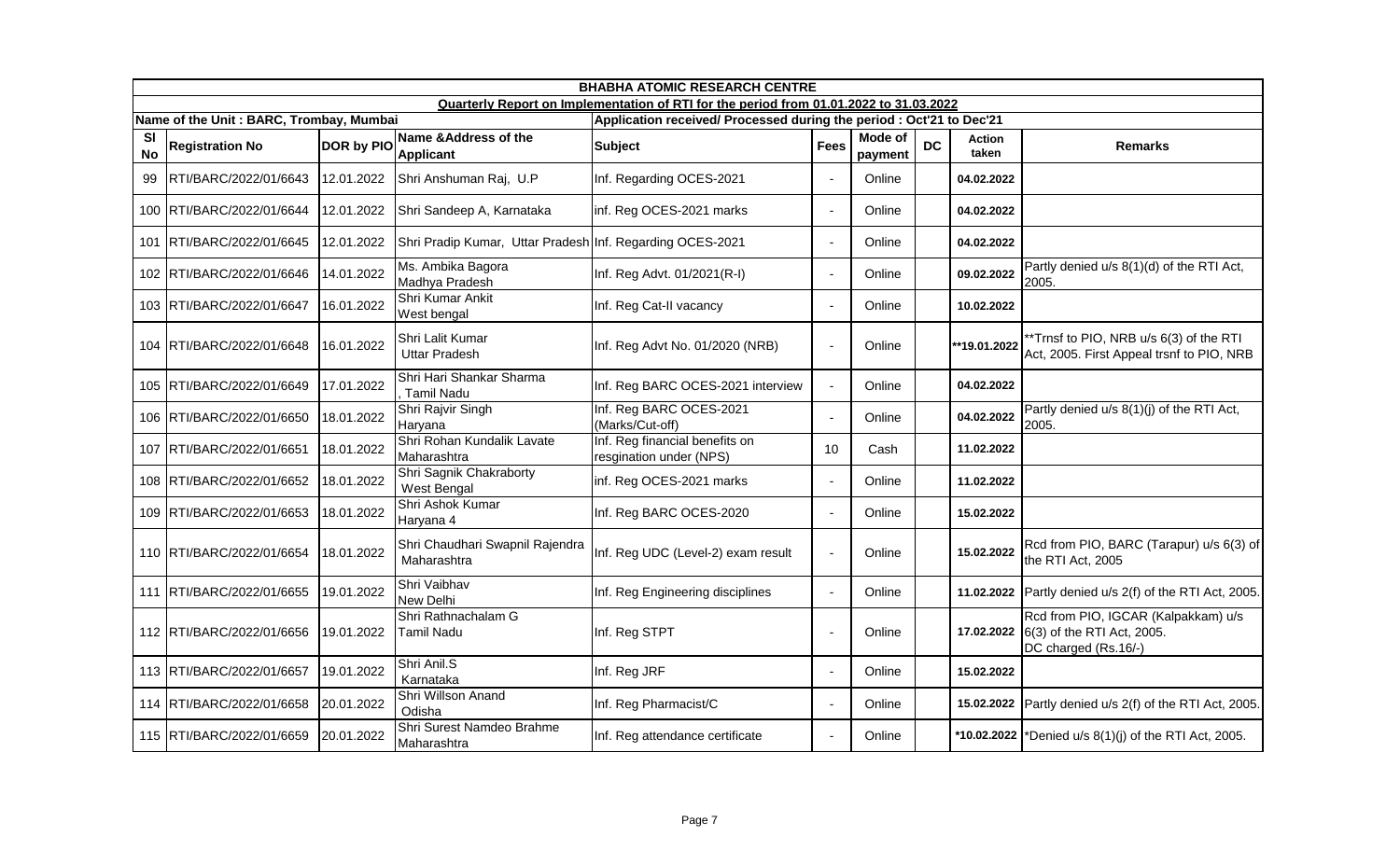|                        | <b>BHABHA ATOMIC RESEARCH CENTRE</b>    |            |                                                           |                                                                                        |                |                    |           |                        |                                                                                           |  |  |
|------------------------|-----------------------------------------|------------|-----------------------------------------------------------|----------------------------------------------------------------------------------------|----------------|--------------------|-----------|------------------------|-------------------------------------------------------------------------------------------|--|--|
|                        |                                         |            |                                                           | Quarterly Report on Implementation of RTI for the period from 01.01.2022 to 31.03.2022 |                |                    |           |                        |                                                                                           |  |  |
|                        | Name of the Unit: BARC, Trombay, Mumbai |            |                                                           | Application received/ Processed during the period : Oct'21 to Dec'21                   |                |                    |           |                        |                                                                                           |  |  |
| <b>SI</b><br><b>No</b> | <b>Registration No</b>                  | DOR by PIO | Name & Address of the<br><b>Applicant</b>                 | <b>Subject</b>                                                                         | <b>Fees</b>    | Mode of<br>payment | <b>DC</b> | <b>Action</b><br>taken | <b>Remarks</b>                                                                            |  |  |
| 99                     | RTI/BARC/2022/01/6643                   | 12.01.2022 | Shri Anshuman Raj, U.P                                    | Inf. Regarding OCES-2021                                                               | $\blacksquare$ | Online             |           | 04.02.2022             |                                                                                           |  |  |
|                        | 100 RTI/BARC/2022/01/6644               | 12.01.2022 | Shri Sandeep A, Karnataka                                 | inf. Reg OCES-2021 marks                                                               | $\blacksquare$ | Online             |           | 04.02.2022             |                                                                                           |  |  |
|                        | 101 RTI/BARC/2022/01/6645               | 12.01.2022 | Shri Pradip Kumar, Uttar Pradesh Inf. Regarding OCES-2021 |                                                                                        | $\blacksquare$ | Online             |           | 04.02.2022             |                                                                                           |  |  |
|                        | 102 RTI/BARC/2022/01/6646               | 14.01.2022 | Ms. Ambika Bagora<br>Madhya Pradesh                       | Inf. Reg Advt. 01/2021(R-I)                                                            | $\blacksquare$ | Online             |           | 09.02.2022             | Partly denied u/s 8(1)(d) of the RTI Act,<br>2005.                                        |  |  |
|                        | 103 RTI/BARC/2022/01/6647               | 16.01.2022 | Shri Kumar Ankit<br>West bengal                           | Inf. Reg Cat-II vacancy                                                                | $\sim$         | Online             |           | 10.02.2022             |                                                                                           |  |  |
|                        | 104 RTI/BARC/2022/01/6648               | 16.01.2022 | Shri Lalit Kumar<br><b>Uttar Pradesh</b>                  | Inf. Reg Advt No. 01/2020 (NRB)                                                        | $\sim$         | Online             |           | **19.01.2022           | *Trnsf to PIO, NRB u/s 6(3) of the RTI<br>Act, 2005. First Appeal trsnf to PIO, NRB       |  |  |
|                        | 105 RTI/BARC/2022/01/6649               | 17.01.2022 | Shri Hari Shankar Sharma<br>Tamil Nadu                    | Inf. Reg BARC OCES-2021 interview                                                      | $\sim$         | Online             |           | 04.02.2022             |                                                                                           |  |  |
|                        | 106 RTI/BARC/2022/01/6650               | 18.01.2022 | Shri Rajvir Singh<br>Haryana                              | Inf. Reg BARC OCES-2021<br>(Marks/Cut-off)                                             | $\blacksquare$ | Online             |           | 04.02.2022             | Partly denied u/s 8(1)(j) of the RTI Act,<br>2005.                                        |  |  |
|                        | 107 RTI/BARC/2022/01/6651               | 18.01.2022 | Shri Rohan Kundalik Lavate<br>Maharashtra                 | Inf. Reg financial benefits on<br>resgination under (NPS)                              | 10             | Cash               |           | 11.02.2022             |                                                                                           |  |  |
|                        | 108 RTI/BARC/2022/01/6652               | 18.01.2022 | Shri Sagnik Chakraborty<br><b>West Bengal</b>             | inf. Reg OCES-2021 marks                                                               | $\blacksquare$ | Online             |           | 11.02.2022             |                                                                                           |  |  |
|                        | 109 RTI/BARC/2022/01/6653               | 18.01.2022 | Shri Ashok Kumar<br>Haryana 4                             | Inf. Reg BARC OCES-2020                                                                | $\blacksquare$ | Online             |           | 15.02.2022             |                                                                                           |  |  |
|                        | 110 RTI/BARC/2022/01/6654               | 18.01.2022 | Shri Chaudhari Swapnil Rajendra<br>Maharashtra            | Inf. Reg UDC (Level-2) exam result                                                     | $\blacksquare$ | Online             |           | 15.02.2022             | Rcd from PIO, BARC (Tarapur) u/s 6(3) of<br>the RTI Act, 2005                             |  |  |
|                        | 111 RTI/BARC/2022/01/6655               | 19.01.2022 | Shri Vaibhav<br>New Delhi                                 | Inf. Reg Engineering disciplines                                                       | $\blacksquare$ | Online             |           |                        | 11.02.2022 Partly denied $u/s$ 2(f) of the RTI Act, 2005.                                 |  |  |
|                        | 112 RTI/BARC/2022/01/6656               | 19.01.2022 | Shri Rathnachalam G<br><b>Tamil Nadu</b>                  | Inf. Reg STPT                                                                          | $\blacksquare$ | Online             |           | 17.02.2022             | Rcd from PIO, IGCAR (Kalpakkam) u/s<br>6(3) of the RTI Act, 2005.<br>DC charged (Rs.16/-) |  |  |
|                        | 113 RTI/BARC/2022/01/6657               | 19.01.2022 | Shri Anil.S<br>Karnataka                                  | Inf. Reg JRF                                                                           | $\blacksquare$ | Online             |           | 15.02.2022             |                                                                                           |  |  |
|                        | 114 RTI/BARC/2022/01/6658               | 20.01.2022 | Shri Willson Anand<br>Odisha                              | Inf. Reg Pharmacist/C                                                                  | $\blacksquare$ | Online             |           |                        | 15.02.2022 Partly denied u/s 2(f) of the RTI Act, 2005.                                   |  |  |
|                        | 115 RTI/BARC/2022/01/6659               | 20.01.2022 | Shri Surest Namdeo Brahme<br>Maharashtra                  | Inf. Reg attendance certificate                                                        | $\sim$         | Online             |           |                        | *10.02.2022  *Denied u/s $8(1)(i)$ of the RTI Act, 2005.                                  |  |  |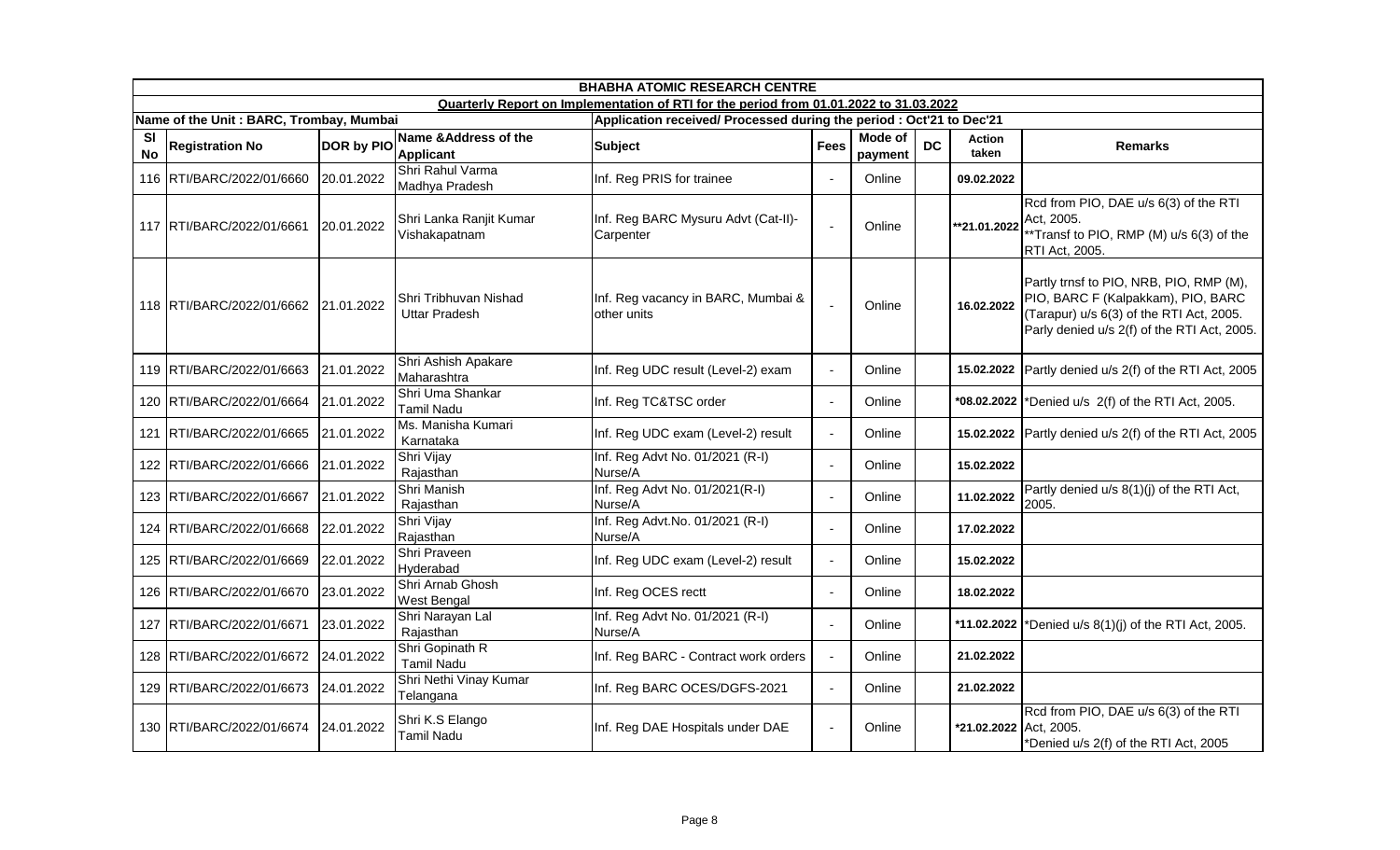|                 | <b>BHABHA ATOMIC RESEARCH CENTRE</b>    |            |                                               |                                                                                        |                |                           |           |                        |                                                                                                                                                                          |  |
|-----------------|-----------------------------------------|------------|-----------------------------------------------|----------------------------------------------------------------------------------------|----------------|---------------------------|-----------|------------------------|--------------------------------------------------------------------------------------------------------------------------------------------------------------------------|--|
|                 |                                         |            |                                               | Quarterly Report on Implementation of RTI for the period from 01.01.2022 to 31.03.2022 |                |                           |           |                        |                                                                                                                                                                          |  |
|                 | Name of the Unit: BARC, Trombay, Mumbai |            |                                               | Application received/ Processed during the period : Oct'21 to Dec'21                   |                |                           |           |                        |                                                                                                                                                                          |  |
| SI<br><b>No</b> | <b>Registration No</b>                  | DOR by PIO | Name & Address of the<br><b>Applicant</b>     | <b>Subject</b>                                                                         | <b>Fees</b>    | <b>Mode of</b><br>payment | <b>DC</b> | <b>Action</b><br>taken | <b>Remarks</b>                                                                                                                                                           |  |
|                 | 116 RTI/BARC/2022/01/6660               | 20.01.2022 | Shri Rahul Varma<br>Madhya Pradesh            | Inf. Reg PRIS for trainee                                                              | $\blacksquare$ | Online                    |           | 09.02.2022             |                                                                                                                                                                          |  |
|                 | 117 RTI/BARC/2022/01/6661               | 20.01.2022 | Shri Lanka Ranjit Kumar<br>Vishakapatnam      | Inf. Reg BARC Mysuru Advt (Cat-II)-<br>Carpenter                                       | $\sim$         | Online                    |           | **21.01.2022           | Rcd from PIO, DAE u/s 6(3) of the RTI<br>Act. 2005.<br>**Transf to PIO, RMP (M) u/s 6(3) of the<br>RTI Act, 2005.                                                        |  |
|                 | 118 RTI/BARC/2022/01/6662 21.01.2022    |            | Shri Tribhuvan Nishad<br><b>Uttar Pradesh</b> | Inf. Reg vacancy in BARC, Mumbai &<br>other units                                      | $\sim$         | Online                    |           | 16.02.2022             | Partly trnsf to PIO, NRB, PIO, RMP (M),<br>PIO, BARC F (Kalpakkam), PIO, BARC<br>(Tarapur) u/s 6(3) of the RTI Act, 2005.<br>Parly denied u/s 2(f) of the RTI Act, 2005. |  |
|                 | 119 RTI/BARC/2022/01/6663               | 21.01.2022 | Shri Ashish Apakare<br>Maharashtra            | Inf. Reg UDC result (Level-2) exam                                                     | $\sim$         | Online                    |           | 15.02.2022             | Partly denied u/s 2(f) of the RTI Act, 2005                                                                                                                              |  |
|                 | 120 RTI/BARC/2022/01/6664               | 21.01.2022 | Shri Uma Shankar<br><b>Tamil Nadu</b>         | Inf. Reg TC&TSC order                                                                  | $\sim$         | Online                    |           |                        | *08.02.2022  *Denied u/s $2(f)$ of the RTI Act, 2005.                                                                                                                    |  |
| 121             | RTI/BARC/2022/01/6665                   | 21.01.2022 | Ms. Manisha Kumari<br>Karnataka               | Inf. Reg UDC exam (Level-2) result                                                     | $\sim$         | Online                    |           | 15.02.2022             | Partly denied u/s 2(f) of the RTI Act, 2005                                                                                                                              |  |
|                 | 122 RTI/BARC/2022/01/6666               | 21.01.2022 | Shri Vijay<br>Rajasthan                       | Inf. Reg Advt No. 01/2021 (R-I)<br>Nurse/A                                             | $\mathbf{r}$   | Online                    |           | 15.02.2022             |                                                                                                                                                                          |  |
|                 | 123 RTI/BARC/2022/01/6667               | 21.01.2022 | Shri Manish<br>Rajasthan                      | Inf. Reg Advt No. 01/2021(R-I)<br>Nurse/A                                              | $\sim$         | Online                    |           | 11.02.2022             | Partly denied u/s 8(1)(j) of the RTI Act,<br>2005.                                                                                                                       |  |
|                 | 124 RTI/BARC/2022/01/6668               | 22.01.2022 | Shri Vijay<br>Rajasthan                       | Inf. Reg Advt.No. 01/2021 (R-I)<br>Nurse/A                                             | $\sim$         | Online                    |           | 17.02.2022             |                                                                                                                                                                          |  |
|                 | 125 RTI/BARC/2022/01/6669               | 22.01.2022 | Shri Praveen<br>Hyderabad                     | Inf. Reg UDC exam (Level-2) result                                                     | $\blacksquare$ | Online                    |           | 15.02.2022             |                                                                                                                                                                          |  |
|                 | 126 RTI/BARC/2022/01/6670               | 23.01.2022 | Shri Arnab Ghosh<br>West Bengal               | Inf. Reg OCES rectt                                                                    | $\sim$         | Online                    |           | 18.02.2022             |                                                                                                                                                                          |  |
| 127             | RTI/BARC/2022/01/6671                   | 23.01.2022 | Shri Narayan Lal<br>Rajasthan                 | Inf. Reg Advt No. 01/2021 (R-I)<br>Nurse/A                                             | $\sim$         | Online                    |           | *11.02.2022            | *Denied u/s 8(1)(j) of the RTI Act, 2005.                                                                                                                                |  |
|                 | 128 RTI/BARC/2022/01/6672               | 24.01.2022 | Shri Gopinath R<br><b>Tamil Nadu</b>          | Inf. Reg BARC - Contract work orders                                                   | $\sim$         | Online                    |           | 21.02.2022             |                                                                                                                                                                          |  |
|                 | 129 RTI/BARC/2022/01/6673               | 24.01.2022 | Shri Nethi Vinay Kumar<br>Telangana           | Inf. Reg BARC OCES/DGFS-2021                                                           | $\omega$       | Online                    |           | 21.02.2022             |                                                                                                                                                                          |  |
|                 | 130 RTI/BARC/2022/01/6674               | 24.01.2022 | Shri K.S Elango<br>Tamil Nadu                 | Inf. Reg DAE Hospitals under DAE                                                       | $\sim$         | Online                    |           | *21.02.2022 Act, 2005. | Rcd from PIO, DAE u/s 6(3) of the RTI<br>*Denied u/s 2(f) of the RTI Act, 2005                                                                                           |  |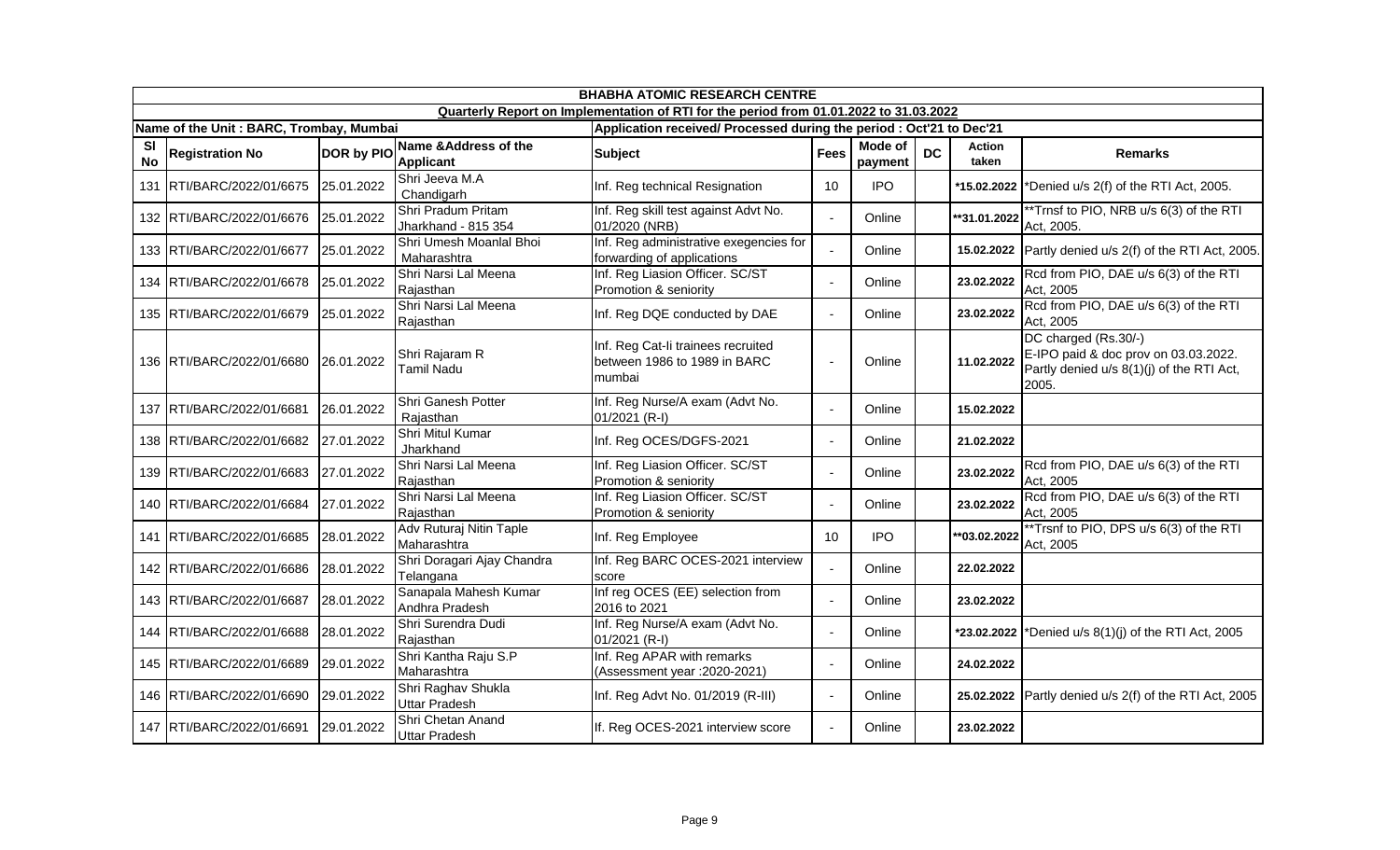|                        | <b>BHABHA ATOMIC RESEARCH CENTRE</b>    |                   |                                            |                                                                                        |                |                    |           |                 |                                                                                                                    |  |  |
|------------------------|-----------------------------------------|-------------------|--------------------------------------------|----------------------------------------------------------------------------------------|----------------|--------------------|-----------|-----------------|--------------------------------------------------------------------------------------------------------------------|--|--|
|                        |                                         |                   |                                            | Quarterly Report on Implementation of RTI for the period from 01.01.2022 to 31.03.2022 |                |                    |           |                 |                                                                                                                    |  |  |
|                        | Name of the Unit: BARC, Trombay, Mumbai |                   |                                            | Application received/ Processed during the period : Oct'21 to Dec'21                   |                |                    |           |                 |                                                                                                                    |  |  |
| <b>SI</b><br><b>No</b> | <b>Registration No</b>                  | <b>DOR by PIO</b> | Name & Address of the<br><b>Applicant</b>  | <b>Subject</b>                                                                         | <b>Fees</b>    | Mode of<br>payment | <b>DC</b> | Action<br>taken | <b>Remarks</b>                                                                                                     |  |  |
| 131                    | RTI/BARC/2022/01/6675                   | 25.01.2022        | Shri Jeeva M.A<br>Chandigarh               | Inf. Reg technical Resignation                                                         | 10             | <b>IPO</b>         |           |                 | *15.02.2022  *Denied u/s $2(f)$ of the RTI Act, 2005.                                                              |  |  |
|                        | 132 RTI/BARC/2022/01/6676               | 25.01.2022        | Shri Pradum Pritam<br>Jharkhand - 815 354  | Inf. Reg skill test against Advt No.<br>01/2020 (NRB)                                  | $\blacksquare$ | Online             |           | **31.01.2022    | **Trnsf to PIO, NRB u/s 6(3) of the RTI<br>Act, 2005.                                                              |  |  |
|                        | 133 RTI/BARC/2022/01/6677               | 25.01.2022        | Shri Umesh Moanlal Bhoi<br>Maharashtra     | Inf. Reg administrative exegencies for<br>forwarding of applications                   | $\overline{a}$ | Online             |           |                 | 15.02.2022 Partly denied u/s 2(f) of the RTI Act, 2005.                                                            |  |  |
| 134                    | RTI/BARC/2022/01/6678                   | 25.01.2022        | Shri Narsi Lal Meena<br>Rajasthan          | Inf. Reg Liasion Officer. SC/ST<br>Promotion & seniority                               | ÷,             | Online             |           | 23.02.2022      | Rcd from PIO, DAE u/s 6(3) of the RTI<br>Act, 2005                                                                 |  |  |
|                        | 135 RTI/BARC/2022/01/6679               | 25.01.2022        | Shri Narsi Lal Meena<br>Rajasthan          | Inf. Reg DQE conducted by DAE                                                          | $\blacksquare$ | Online             |           | 23.02.2022      | Rcd from PIO, DAE u/s 6(3) of the RTI<br>Act, 2005                                                                 |  |  |
|                        | 136 RTI/BARC/2022/01/6680               | 26.01.2022        | Shri Rajaram R<br><b>Tamil Nadu</b>        | Inf. Reg Cat-li trainees recruited<br>between 1986 to 1989 in BARC<br>mumbai           | ÷,             | Online             |           | 11.02.2022      | DC charged (Rs.30/-)<br>E-IPO paid & doc prov on 03.03.2022.<br>Partly denied u/s 8(1)(j) of the RTI Act,<br>2005. |  |  |
|                        | 137 RTI/BARC/2022/01/6681               | 26.01.2022        | Shri Ganesh Potter<br>Rajasthan            | Inf. Reg Nurse/A exam (Advt No.<br>01/2021 (R-I)                                       | $\sim$         | Online             |           | 15.02.2022      |                                                                                                                    |  |  |
|                        | 138 RTI/BARC/2022/01/6682               | 27.01.2022        | Shri Mitul Kumar<br>Jharkhand              | Inf. Reg OCES/DGFS-2021                                                                | $\blacksquare$ | Online             |           | 21.02.2022      |                                                                                                                    |  |  |
|                        | 139 RTI/BARC/2022/01/6683               | 27.01.2022        | Shri Narsi Lal Meena<br>Rajasthan          | Inf. Reg Liasion Officer. SC/ST<br>Promotion & seniority                               | $\blacksquare$ | Online             |           | 23.02.2022      | Rcd from PIO, DAE u/s 6(3) of the RTI<br>Act, 2005                                                                 |  |  |
|                        | 140 RTI/BARC/2022/01/6684               | 27.01.2022        | Shri Narsi Lal Meena<br>Rajasthan          | Inf. Reg Liasion Officer. SC/ST<br>Promotion & seniority                               | ÷,             | Online             |           | 23.02.2022      | Rcd from PIO, DAE u/s 6(3) of the RTI<br>Act, 2005                                                                 |  |  |
|                        | 141 RTI/BARC/2022/01/6685               | 28.01.2022        | Adv Ruturaj Nitin Taple<br>Maharashtra     | Inf. Reg Employee                                                                      | 10             | <b>IPO</b>         |           | **03.02.2022    | **Trsnf to PIO, DPS u/s 6(3) of the RTI<br>Act, 2005                                                               |  |  |
|                        | 142 RTI/BARC/2022/01/6686               | 28.01.2022        | Shri Doragari Ajay Chandra<br>Telangana    | Inf. Reg BARC OCES-2021 interview<br>score                                             | $\overline{a}$ | Online             |           | 22.02.2022      |                                                                                                                    |  |  |
|                        | 143 RTI/BARC/2022/01/6687               | 28.01.2022        | Sanapala Mahesh Kumar<br>Andhra Pradesh    | Inf reg OCES (EE) selection from<br>2016 to 2021                                       | $\Delta$       | Online             |           | 23.02.2022      |                                                                                                                    |  |  |
|                        | 144 RTI/BARC/2022/01/6688               | 28.01.2022        | Shri Surendra Dudi<br>Rajasthan            | Inf. Reg Nurse/A exam (Advt No.<br>01/2021 (R-I)                                       |                | Online             |           |                 | *23.02.2022   *Denied u/s $8(1)(j)$ of the RTI Act, 2005                                                           |  |  |
|                        | 145 RTI/BARC/2022/01/6689               | 29.01.2022        | Shri Kantha Raju S.P<br>Maharashtra        | Inf. Reg APAR with remarks<br>(Assessment year : 2020-2021)                            | $\blacksquare$ | Online             |           | 24.02.2022      |                                                                                                                    |  |  |
|                        | 146 RTI/BARC/2022/01/6690               | 29.01.2022        | Shri Raghav Shukla<br><b>Uttar Pradesh</b> | Inf. Reg Advt No. 01/2019 (R-III)                                                      | $\blacksquare$ | Online             |           | 25.02.2022      | Partly denied u/s 2(f) of the RTI Act, 2005                                                                        |  |  |
|                        | 147 RTI/BARC/2022/01/6691               | 29.01.2022        | Shri Chetan Anand<br><b>Uttar Pradesh</b>  | If. Reg OCES-2021 interview score                                                      | $\sim$         | Online             |           | 23.02.2022      |                                                                                                                    |  |  |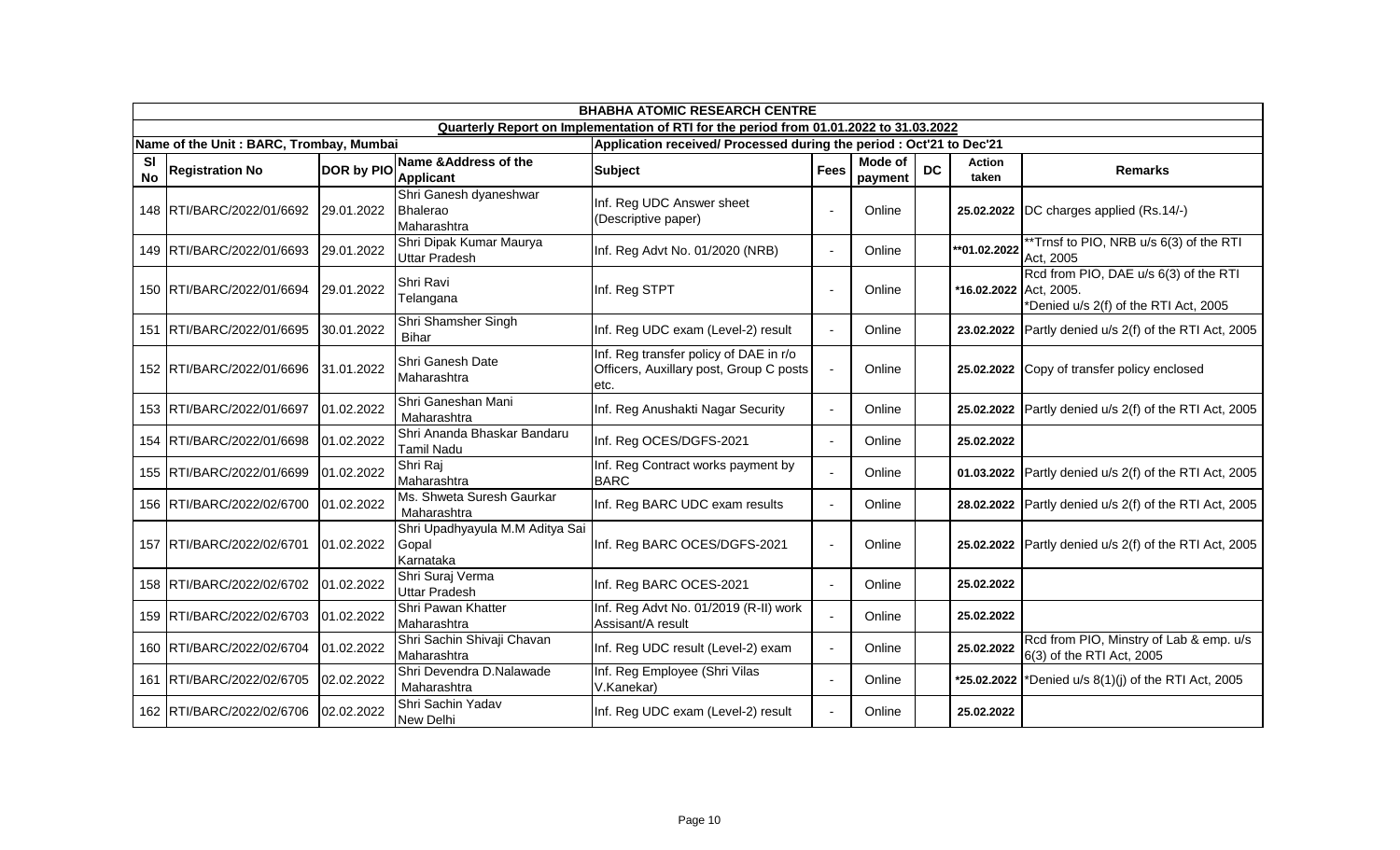|                 | <b>BHABHA ATOMIC RESEARCH CENTRE</b>    |                   |                                                       |                                                                                           |                |                    |           |                        |                                                                                |  |
|-----------------|-----------------------------------------|-------------------|-------------------------------------------------------|-------------------------------------------------------------------------------------------|----------------|--------------------|-----------|------------------------|--------------------------------------------------------------------------------|--|
|                 |                                         |                   |                                                       | Quarterly Report on Implementation of RTI for the period from 01.01.2022 to 31.03.2022    |                |                    |           |                        |                                                                                |  |
|                 | Name of the Unit: BARC, Trombay, Mumbai |                   |                                                       | Application received/ Processed during the period : Oct'21 to Dec'21                      |                |                    |           |                        |                                                                                |  |
| SI<br><b>No</b> | <b>Registration No</b>                  | <b>DOR by PIO</b> | Name & Address of the<br><b>Applicant</b>             | <b>Subject</b>                                                                            | <b>Fees</b>    | Mode of<br>payment | <b>DC</b> | Action<br>taken        | <b>Remarks</b>                                                                 |  |
|                 | 148 RTI/BARC/2022/01/6692               | 29.01.2022        | Shri Ganesh dyaneshwar<br>Bhalerao<br>Maharashtra     | Inf. Reg UDC Answer sheet<br>(Descriptive paper)                                          | $\sim$         | Online             |           | 25.02.2022             | DC charges applied (Rs.14/-)                                                   |  |
|                 | 149 RTI/BARC/2022/01/6693               | 29.01.2022        | Shri Dipak Kumar Maurya<br><b>Uttar Pradesh</b>       | Inf. Reg Advt No. 01/2020 (NRB)                                                           | $\sim$         | Online             |           | **01.02.2022           | **Trnsf to PIO, NRB u/s 6(3) of the RTI<br>Act, 2005                           |  |
|                 | 150 RTI/BARC/2022/01/6694               | 29.01.2022        | Shri Ravi<br>Telangana                                | Inf. Reg STPT                                                                             | $\blacksquare$ | Online             |           | *16.02.2022 Act, 2005. | Rcd from PIO, DAE u/s 6(3) of the RTI<br>*Denied u/s 2(f) of the RTI Act, 2005 |  |
|                 | 151 RTI/BARC/2022/01/6695               | 30.01.2022        | Shri Shamsher Singh<br><b>Bihar</b>                   | Inf. Reg UDC exam (Level-2) result                                                        | $\sim$         | Online             |           | 23.02.2022             | Partly denied u/s 2(f) of the RTI Act, 2005                                    |  |
|                 | 152 RTI/BARC/2022/01/6696               | 31.01.2022        | Shri Ganesh Date<br>Maharashtra                       | Inf. Reg transfer policy of DAE in r/o<br>Officers, Auxillary post, Group C posts<br>etc. | $\blacksquare$ | Online             |           | 25.02.2022             | Copy of transfer policy enclosed                                               |  |
|                 | 153 RTI/BARC/2022/01/6697               | 01.02.2022        | Shri Ganeshan Mani<br>Maharashtra                     | Inf. Reg Anushakti Nagar Security                                                         | $\blacksquare$ | Online             |           | 25.02.2022             | Partly denied u/s 2(f) of the RTI Act, 2005                                    |  |
|                 | 154 RTI/BARC/2022/01/6698               | 01.02.2022        | Shri Ananda Bhaskar Bandaru<br><b>Tamil Nadu</b>      | Inf. Reg OCES/DGFS-2021                                                                   | $\sim$         | Online             |           | 25.02.2022             |                                                                                |  |
|                 | 155 RTI/BARC/2022/01/6699               | 01.02.2022        | Shri Raj<br>Maharashtra                               | Inf. Reg Contract works payment by<br><b>BARC</b>                                         | $\sim$         | Online             |           | 01.03.2022             | Partly denied u/s 2(f) of the RTI Act, 2005                                    |  |
|                 | 156 RTI/BARC/2022/02/6700               | 01.02.2022        | Ms. Shweta Suresh Gaurkar<br>Maharashtra              | Inf. Reg BARC UDC exam results                                                            | $\mathbf{r}$   | Online             |           | 28.02.2022             | Partly denied u/s 2(f) of the RTI Act, 2005                                    |  |
|                 | 157 RTI/BARC/2022/02/6701               | 01.02.2022        | Shri Upadhyayula M.M Aditya Sai<br>Gopal<br>Karnataka | Inf. Reg BARC OCES/DGFS-2021                                                              | $\blacksquare$ | Online             |           | 25.02.2022             | Partly denied u/s 2(f) of the RTI Act, 2005                                    |  |
|                 | 158 RTI/BARC/2022/02/6702               | 01.02.2022        | Shri Suraj Verma<br><b>Uttar Pradesh</b>              | Inf. Reg BARC OCES-2021                                                                   | $\blacksquare$ | Online             |           | 25.02.2022             |                                                                                |  |
|                 | 159 RTI/BARC/2022/02/6703               | 01.02.2022        | Shri Pawan Khatter<br>Maharashtra                     | Inf. Reg Advt No. 01/2019 (R-II) work<br>Assisant/A result                                | $\mathbf{r}$   | Online             |           | 25.02.2022             |                                                                                |  |
|                 | 160 RTI/BARC/2022/02/6704               | 01.02.2022        | Shri Sachin Shivaji Chavan<br>Maharashtra             | Inf. Reg UDC result (Level-2) exam                                                        | $\blacksquare$ | Online             |           | 25.02.2022             | Rcd from PIO, Minstry of Lab & emp. u/s<br>6(3) of the RTI Act, 2005           |  |
|                 | 161 RTI/BARC/2022/02/6705               | 02.02.2022        | Shri Devendra D.Nalawade<br>Maharashtra               | Inf. Reg Employee (Shri Vilas<br>V.Kanekar)                                               | $\blacksquare$ | Online             |           |                        | *25.02.2022   *Denied u/s $8(1)(i)$ of the RTI Act, 2005                       |  |
|                 | 162 RTI/BARC/2022/02/6706               | 02.02.2022        | Shri Sachin Yadav<br><b>New Delhi</b>                 | Inf. Reg UDC exam (Level-2) result                                                        | $\sim$         | Online             |           | 25.02.2022             |                                                                                |  |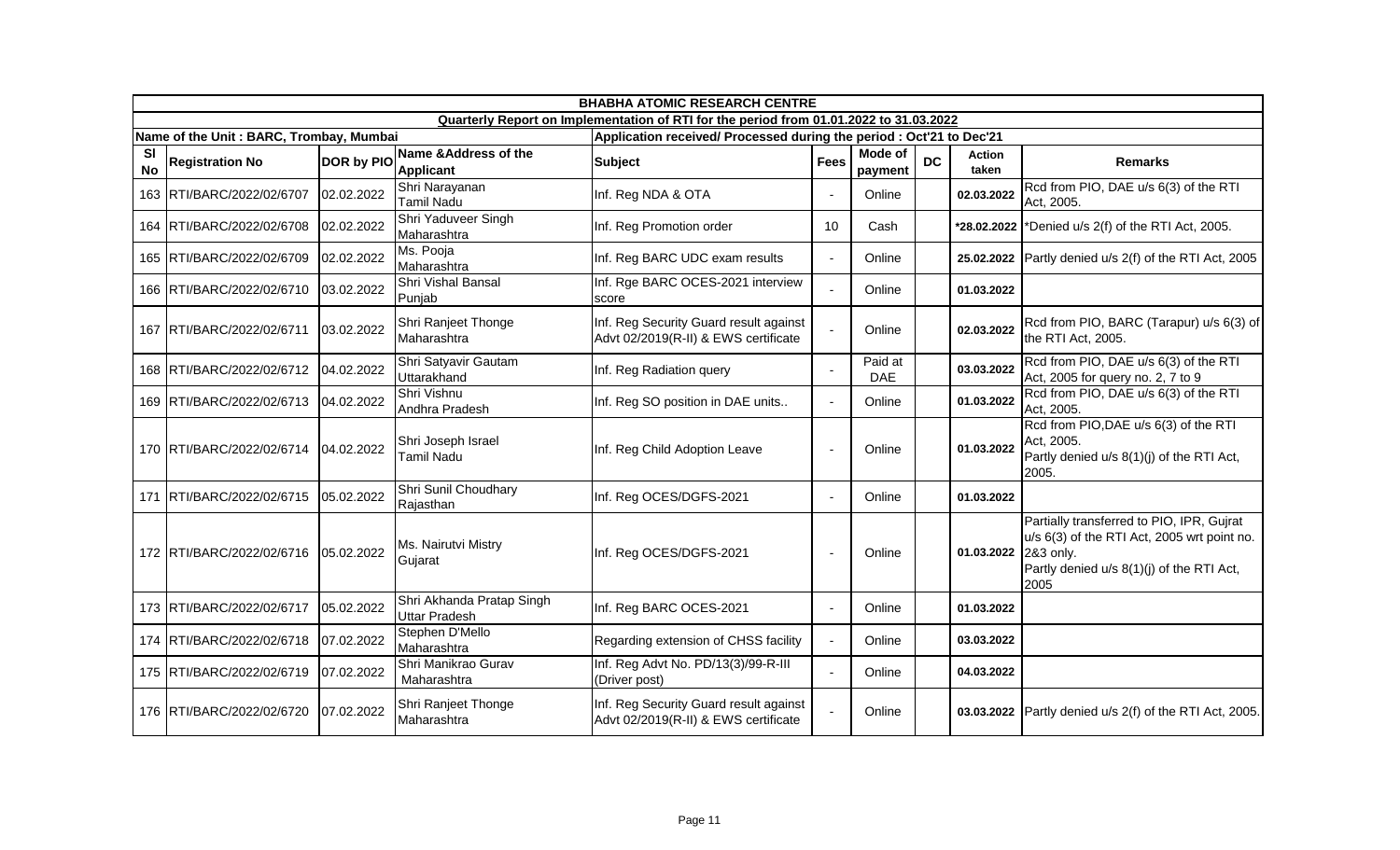|                        | <b>BHABHA ATOMIC RESEARCH CENTRE</b>     |                   |                                            |                                                                                        |                          |                       |           |                 |                                                                                                                                                            |  |
|------------------------|------------------------------------------|-------------------|--------------------------------------------|----------------------------------------------------------------------------------------|--------------------------|-----------------------|-----------|-----------------|------------------------------------------------------------------------------------------------------------------------------------------------------------|--|
|                        |                                          |                   |                                            | Quarterly Report on Implementation of RTI for the period from 01.01.2022 to 31.03.2022 |                          |                       |           |                 |                                                                                                                                                            |  |
|                        | Name of the Unit: BARC, Trombay, Mumbai  |                   |                                            | Application received/ Processed during the period : Oct'21 to Dec'21                   |                          |                       |           |                 |                                                                                                                                                            |  |
| <b>SI</b><br><b>No</b> | <b>Registration No</b>                   | <b>DOR by PIO</b> | Name & Address of the<br><b>Applicant</b>  | <b>Subject</b>                                                                         | <b>Fees</b>              | Mode of<br>payment    | <b>DC</b> | Action<br>taken | <b>Remarks</b>                                                                                                                                             |  |
|                        | 163 RTI/BARC/2022/02/6707                | 02.02.2022        | Shri Narayanan<br><b>Tamil Nadu</b>        | Inf. Reg NDA & OTA                                                                     | $\blacksquare$           | Online                |           | 02.03.2022      | Rcd from PIO, DAE u/s 6(3) of the RTI<br>Act, 2005.                                                                                                        |  |
|                        | 164 RTI/BARC/2022/02/6708                | 02.02.2022        | Shri Yaduveer Singh<br>Maharashtra         | Inf. Reg Promotion order                                                               | 10                       | Cash                  |           | *28.02.2022     | *Denied u/s 2(f) of the RTI Act, 2005.                                                                                                                     |  |
|                        | 165 RTI/BARC/2022/02/6709                | 02.02.2022        | Ms. Pooja<br>Maharashtra                   | Inf. Reg BARC UDC exam results                                                         | $\sim$                   | Online                |           | 25.02.2022      | Partly denied u/s 2(f) of the RTI Act, 2005                                                                                                                |  |
|                        | 166 RTI/BARC/2022/02/6710                | 03.02.2022        | Shri Vishal Bansal<br>Punjab               | Inf. Rge BARC OCES-2021 interview<br>score                                             | $\overline{a}$           | Online                |           | 01.03.2022      |                                                                                                                                                            |  |
|                        | 167 RTI/BARC/2022/02/6711                | 03.02.2022        | Shri Ranjeet Thonge<br>Maharashtra         | Inf. Reg Security Guard result against<br>Advt 02/2019(R-II) & EWS certificate         | $\overline{a}$           | Online                |           | 02.03.2022      | Rcd from PIO, BARC (Tarapur) u/s 6(3) of<br>the RTI Act, 2005.                                                                                             |  |
|                        | 168 RTI/BARC/2022/02/6712                | 04.02.2022        | Shri Satyavir Gautam<br>Uttarakhand        | Inf. Reg Radiation query                                                               | $\blacksquare$           | Paid at<br><b>DAE</b> |           | 03.03.2022      | Rcd from PIO, DAE u/s 6(3) of the RTI<br>Act, 2005 for query no. 2, 7 to 9                                                                                 |  |
|                        | 169   RTI/BARC/2022/02/6713   04.02.2022 |                   | Shri Vishnu<br>Andhra Pradesh              | Inf. Reg SO position in DAE units                                                      | $\sim$                   | Online                |           | 01.03.2022      | Rcd from PIO, DAE u/s 6(3) of the RTI<br>Act, 2005.                                                                                                        |  |
|                        | 170 RTI/BARC/2022/02/6714 04.02.2022     |                   | Shri Joseph Israel<br><b>Tamil Nadu</b>    | Inf. Reg Child Adoption Leave                                                          | $\overline{\phantom{a}}$ | Online                |           | 01.03.2022      | Rcd from PIO, DAE u/s 6(3) of the RTI<br>Act, 2005.<br>Partly denied u/s 8(1)(j) of the RTI Act,<br>2005.                                                  |  |
| 171                    | RTI/BARC/2022/02/6715                    | 05.02.2022        | Shri Sunil Choudhary<br>Rajasthan          | Inf. Reg OCES/DGFS-2021                                                                | $\blacksquare$           | Online                |           | 01.03.2022      |                                                                                                                                                            |  |
|                        | 172 RTI/BARC/2022/02/6716 05.02.2022     |                   | Ms. Nairutvi Mistry<br>Gujarat             | Inf. Reg OCES/DGFS-2021                                                                | $\overline{\phantom{a}}$ | Online                |           | 01.03.2022      | Partially transferred to PIO, IPR, Gujrat<br>u/s 6(3) of the RTI Act, 2005 wrt point no.<br>2&3 only.<br>Partly denied u/s 8(1)(j) of the RTI Act,<br>2005 |  |
|                        | 173 RTI/BARC/2022/02/6717                | 05.02.2022        | Shri Akhanda Pratap Singh<br>Uttar Pradesh | Inf. Reg BARC OCES-2021                                                                | $\sim$                   | Online                |           | 01.03.2022      |                                                                                                                                                            |  |
|                        | 174 RTI/BARC/2022/02/6718                | 07.02.2022        | Stephen D'Mello<br>Maharashtra             | Regarding extension of CHSS facility                                                   | $\blacksquare$           | Online                |           | 03.03.2022      |                                                                                                                                                            |  |
|                        | 175 RTI/BARC/2022/02/6719                | 07.02.2022        | Shri Manikrao Gurav<br>Maharashtra         | Inf. Reg Advt No. PD/13(3)/99-R-III<br>(Driver post)                                   | $\overline{a}$           | Online                |           | 04.03.2022      |                                                                                                                                                            |  |
|                        | 176 RTI/BARC/2022/02/6720                | 07.02.2022        | Shri Ranjeet Thonge<br>Maharashtra         | Inf. Reg Security Guard result against<br>Advt 02/2019(R-II) & EWS certificate         |                          | Online                |           | 03.03.2022      | Partly denied u/s 2(f) of the RTI Act, 2005.                                                                                                               |  |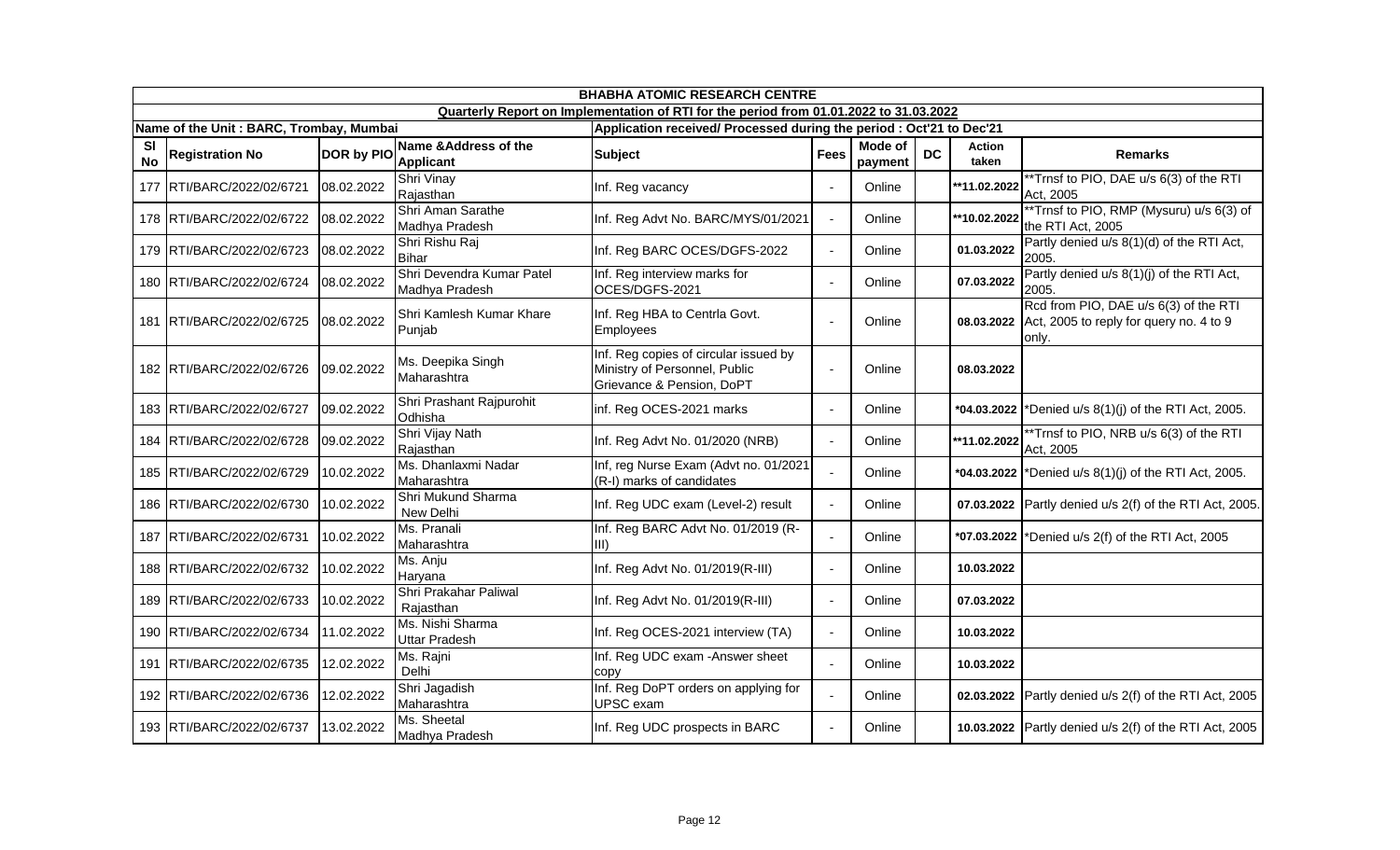|                        | <b>BHABHA ATOMIC RESEARCH CENTRE</b>    |                   |                                             |                                                                                                     |                |                    |           |                 |                                                                                           |  |  |
|------------------------|-----------------------------------------|-------------------|---------------------------------------------|-----------------------------------------------------------------------------------------------------|----------------|--------------------|-----------|-----------------|-------------------------------------------------------------------------------------------|--|--|
|                        |                                         |                   |                                             | Quarterly Report on Implementation of RTI for the period from 01.01.2022 to 31.03.2022              |                |                    |           |                 |                                                                                           |  |  |
|                        | Name of the Unit: BARC, Trombay, Mumbai |                   |                                             | Application received/ Processed during the period : Oct'21 to Dec'21                                |                |                    |           |                 |                                                                                           |  |  |
| <b>SI</b><br><b>No</b> | <b>Registration No</b>                  | <b>DOR by PIO</b> | Name & Address of the<br>Applicant          | <b>Subject</b>                                                                                      | <b>Fees</b>    | Mode of<br>payment | <b>DC</b> | Action<br>taken | <b>Remarks</b>                                                                            |  |  |
|                        | 177 RTI/BARC/2022/02/6721               | 08.02.2022        | Shri Vinay<br>Rajasthan                     | Inf. Reg vacancy                                                                                    | $\overline{a}$ | Online             |           | **11.02.2022    | **Trnsf to PIO, DAE u/s 6(3) of the RTI<br>Act, 2005                                      |  |  |
|                        | 178 RTI/BARC/2022/02/6722               | 08.02.2022        | Shri Aman Sarathe<br>Madhya Pradesh         | Inf. Reg Advt No. BARC/MYS/01/2021                                                                  | $\blacksquare$ | Online             |           | **10.02.2022    | **Trnsf to PIO, RMP (Mysuru) u/s 6(3) of<br>the RTI Act, 2005                             |  |  |
|                        | 179 RTI/BARC/2022/02/6723               | 08.02.2022        | Shri Rishu Raj<br><b>Bihar</b>              | Inf. Reg BARC OCES/DGFS-2022                                                                        | $\blacksquare$ | Online             |           | 01.03.2022      | Partly denied u/s 8(1)(d) of the RTI Act,<br>2005.                                        |  |  |
|                        | 180 RTI/BARC/2022/02/6724               | 08.02.2022        | Shri Devendra Kumar Patel<br>Madhya Pradesh | Inf. Reg interview marks for<br>OCES/DGFS-2021                                                      | $\blacksquare$ | Online             |           | 07.03.2022      | Partly denied u/s 8(1)(j) of the RTI Act,<br>2005.                                        |  |  |
|                        | 181 RTI/BARC/2022/02/6725               | 08.02.2022        | Shri Kamlesh Kumar Khare<br>Punjab          | Inf. Reg HBA to Centrla Govt.<br><b>Employees</b>                                                   | $\sim$         | Online             |           | 08.03.2022      | Rcd from PIO, DAE u/s 6(3) of the RTI<br>Act, 2005 to reply for query no. 4 to 9<br>only. |  |  |
|                        | 182 RTI/BARC/2022/02/6726               | 09.02.2022        | Ms. Deepika Singh<br>Maharashtra            | Inf. Reg copies of circular issued by<br>Ministry of Personnel, Public<br>Grievance & Pension, DoPT | $\blacksquare$ | Online             |           | 08.03.2022      |                                                                                           |  |  |
|                        | 183 RTI/BARC/2022/02/6727               | 09.02.2022        | Shri Prashant Rajpurohit<br>Odhisha         | inf. Reg OCES-2021 marks                                                                            | $\blacksquare$ | Online             |           | *04.03.2022     | *Denied u/s 8(1)(j) of the RTI Act, 2005.                                                 |  |  |
|                        | 184 RTI/BARC/2022/02/6728               | 09.02.2022        | Shri Vijay Nath<br>Rajasthan                | Inf. Reg Advt No. 01/2020 (NRB)                                                                     | $\blacksquare$ | Online             |           | **11.02.2022    | **Trnsf to PIO, NRB u/s 6(3) of the RTI<br>Act, 2005                                      |  |  |
|                        | 185 RTI/BARC/2022/02/6729               | 10.02.2022        | Ms. Dhanlaxmi Nadar<br>Maharashtra          | Inf, reg Nurse Exam (Advt no. 01/2021<br>(R-I) marks of candidates                                  |                | Online             |           | *04.03.2022     | *Denied u/s 8(1)(j) of the RTI Act, 2005.                                                 |  |  |
|                        | 186 RTI/BARC/2022/02/6730               | 10.02.2022        | Shri Mukund Sharma<br>New Delhi             | Inf. Reg UDC exam (Level-2) result                                                                  | $\blacksquare$ | Online             |           | 07.03.2022      | Partly denied u/s 2(f) of the RTI Act, 2005.                                              |  |  |
|                        | 187 RTI/BARC/2022/02/6731               | 10.02.2022        | Ms. Pranali<br>Maharashtra                  | Inf. Reg BARC Advt No. 01/2019 (R-<br>lii)                                                          | $\blacksquare$ | Online             |           | *07.03.2022     | *Denied u/s 2(f) of the RTI Act, 2005                                                     |  |  |
|                        | 188 RTI/BARC/2022/02/6732               | 10.02.2022        | Ms. Anju<br>Haryana                         | Inf. Reg Advt No. 01/2019(R-III)                                                                    | $\sim$         | Online             |           | 10.03.2022      |                                                                                           |  |  |
|                        | 189 RTI/BARC/2022/02/6733               | 10.02.2022        | Shri Prakahar Paliwal<br>Rajasthan          | Inf. Reg Advt No. 01/2019(R-III)                                                                    | $\blacksquare$ | Online             |           | 07.03.2022      |                                                                                           |  |  |
|                        | 190 RTI/BARC/2022/02/6734               | 11.02.2022        | Ms. Nishi Sharma<br><b>Uttar Pradesh</b>    | Inf. Reg OCES-2021 interview (TA)                                                                   | $\sim$         | Online             |           | 10.03.2022      |                                                                                           |  |  |
|                        | 191 RTI/BARC/2022/02/6735               | 12.02.2022        | Ms. Rajni<br>Delhi                          | Inf. Reg UDC exam - Answer sheet<br>copy                                                            | L.             | Online             |           | 10.03.2022      |                                                                                           |  |  |
|                        | 192 RTI/BARC/2022/02/6736               | 12.02.2022        | Shri Jagadish<br>Maharashtra                | Inf. Reg DoPT orders on applying for<br>UPSC exam                                                   | $\blacksquare$ | Online             |           | 02.03.2022      | Partly denied u/s 2(f) of the RTI Act, 2005                                               |  |  |
|                        | 193 RTI/BARC/2022/02/6737               | 13.02.2022        | Ms. Sheetal<br>Madhya Pradesh               | Inf. Reg UDC prospects in BARC                                                                      | $\blacksquare$ | Online             |           |                 | 10.03.2022 Partly denied $u/s$ 2(f) of the RTI Act, 2005                                  |  |  |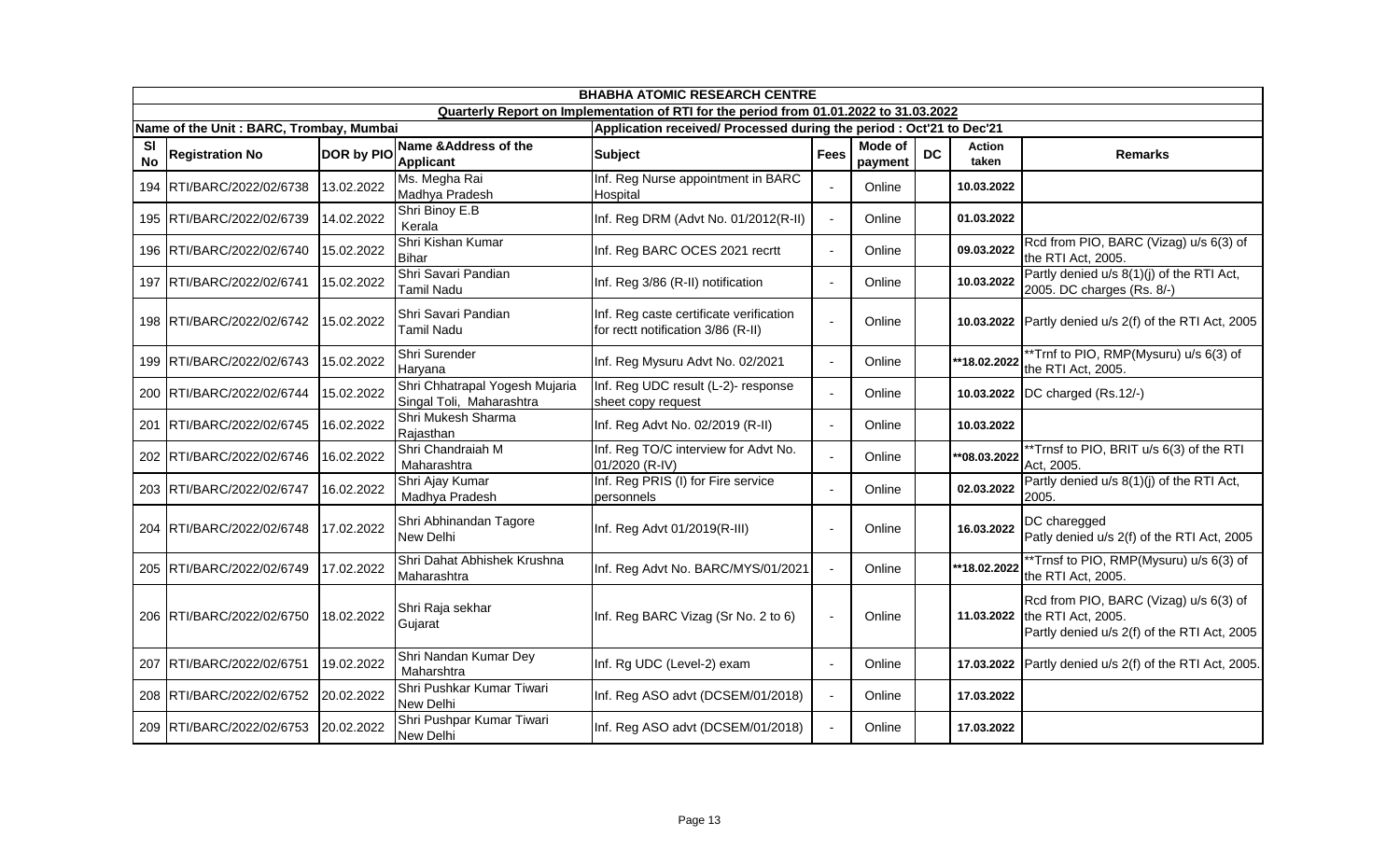|                        |                                         |                   |                                                            | <b>BHABHA ATOMIC RESEARCH CENTRE</b>                                                   |                |                    |           |                        |                                                                                                             |
|------------------------|-----------------------------------------|-------------------|------------------------------------------------------------|----------------------------------------------------------------------------------------|----------------|--------------------|-----------|------------------------|-------------------------------------------------------------------------------------------------------------|
|                        |                                         |                   |                                                            | Quarterly Report on Implementation of RTI for the period from 01.01.2022 to 31.03.2022 |                |                    |           |                        |                                                                                                             |
|                        | Name of the Unit: BARC, Trombay, Mumbai |                   |                                                            | Application received/ Processed during the period : Oct'21 to Dec'21                   |                |                    |           |                        |                                                                                                             |
| <b>SI</b><br><b>No</b> | <b>Registration No</b>                  | <b>DOR by PIO</b> | Name & Address of the<br><b>Applicant</b>                  | <b>Subject</b>                                                                         | <b>Fees</b>    | Mode of<br>payment | <b>DC</b> | <b>Action</b><br>taken | <b>Remarks</b>                                                                                              |
|                        | 194 RTI/BARC/2022/02/6738               | 13.02.2022        | Ms. Megha Rai<br>Madhya Pradesh                            | Inf. Reg Nurse appointment in BARC<br>Hospital                                         |                | Online             |           | 10.03.2022             |                                                                                                             |
|                        | 195 RTI/BARC/2022/02/6739               | 14.02.2022        | Shri Binoy E.B<br>Kerala                                   | Inf. Reg DRM (Advt No. 01/2012(R-II)                                                   | $\blacksquare$ | Online             |           | 01.03.2022             |                                                                                                             |
|                        | 196 RTI/BARC/2022/02/6740               | 15.02.2022        | Shri Kishan Kumar<br><b>Bihar</b>                          | Inf. Reg BARC OCES 2021 recrtt                                                         | $\blacksquare$ | Online             |           | 09.03.2022             | Rcd from PIO, BARC (Vizag) u/s 6(3) of<br>the RTI Act, 2005.                                                |
|                        | 197 RTI/BARC/2022/02/6741               | 15.02.2022        | Shri Savari Pandian<br>Tamil Nadu                          | Inf. Reg 3/86 (R-II) notification                                                      | $\sim$         | Online             |           | 10.03.2022             | Partly denied u/s 8(1)(j) of the RTI Act,<br>2005. DC charges (Rs. 8/-)                                     |
|                        | 198 RTI/BARC/2022/02/6742               | 15.02.2022        | Shri Savari Pandian<br>Tamil Nadu                          | Inf. Reg caste certificate verification<br>for rectt notification 3/86 (R-II)          | ÷,             | Online             |           |                        | 10.03.2022 Partly denied u/s 2(f) of the RTI Act, 2005                                                      |
|                        | 199 RTI/BARC/2022/02/6743               | 15.02.2022        | Shri Surender<br>Haryana                                   | Inf. Reg Mysuru Advt No. 02/2021                                                       | $\blacksquare$ | Online             |           | **18.02.2022           | **Trnf to PIO, RMP(Mysuru) u/s 6(3) of<br>the RTI Act, 2005.                                                |
|                        | 200 RTI/BARC/2022/02/6744               | 15.02.2022        | Shri Chhatrapal Yogesh Mujaria<br>Singal Toli, Maharashtra | Inf. Reg UDC result (L-2)- response<br>sheet copy request                              | ÷,             | Online             |           | 10.03.2022             | DC charged (Rs.12/-)                                                                                        |
|                        | 201 RTI/BARC/2022/02/6745               | 16.02.2022        | Shri Mukesh Sharma<br>Rajasthan                            | Inf. Reg Advt No. 02/2019 (R-II)                                                       | $\blacksquare$ | Online             |           | 10.03.2022             |                                                                                                             |
|                        | 202 RTI/BARC/2022/02/6746               | 16.02.2022        | Shri Chandraiah M<br>Maharashtra                           | Inf. Reg TO/C interview for Advt No.<br>01/2020 (R-IV)                                 | $\blacksquare$ | Online             |           | $*$ 08.03.2022         | **Trnsf to PIO, BRIT u/s 6(3) of the RTI<br>Act, 2005.                                                      |
|                        | 203 RTI/BARC/2022/02/6747               | 16.02.2022        | Shri Ajay Kumar<br>Madhya Pradesh                          | Inf. Reg PRIS (I) for Fire service<br>personnels                                       | $\overline{a}$ | Online             |           | 02.03.2022             | Partly denied u/s 8(1)(j) of the RTI Act,<br>2005.                                                          |
|                        | 204 RTI/BARC/2022/02/6748               | 17.02.2022        | Shri Abhinandan Tagore<br>New Delhi                        | Inf. Reg Advt 01/2019(R-III)                                                           | $\overline{a}$ | Online             |           | 16.03.2022             | DC charegged<br>Patly denied u/s 2(f) of the RTI Act, 2005                                                  |
|                        | 205 RTI/BARC/2022/02/6749               | 17.02.2022        | Shri Dahat Abhishek Krushna<br>Maharashtra                 | Inf. Reg Advt No. BARC/MYS/01/2021                                                     | $\sim$         | Online             |           | **18.02.2022           | **Trnsf to PIO, RMP(Mysuru) u/s 6(3) of<br>the RTI Act, 2005.                                               |
|                        | 206 RTI/BARC/2022/02/6750               | 18.02.2022        | Shri Raja sekhar<br>Gujarat                                | Inf. Reg BARC Vizag (Sr No. 2 to 6)                                                    | $\mathbf{r}$   | Online             |           | 11.03.2022             | Rcd from PIO, BARC (Vizag) u/s 6(3) of<br>the RTI Act, 2005.<br>Partly denied u/s 2(f) of the RTI Act, 2005 |
|                        | 207 RTI/BARC/2022/02/6751               | 19.02.2022        | Shri Nandan Kumar Dey<br>Maharshtra                        | Inf. Rg UDC (Level-2) exam                                                             | $\blacksquare$ | Online             |           | 17.03.2022             | Partly denied u/s 2(f) of the RTI Act, 2005.                                                                |
|                        | 208 RTI/BARC/2022/02/6752               | 20.02.2022        | Shri Pushkar Kumar Tiwari<br>New Delhi                     | Inf. Reg ASO advt (DCSEM/01/2018)                                                      | $\sim$         | Online             |           | 17.03.2022             |                                                                                                             |
|                        | 209 RTI/BARC/2022/02/6753               | 20.02.2022        | Shri Pushpar Kumar Tiwari<br>New Delhi                     | Inf. Reg ASO advt (DCSEM/01/2018)                                                      | $\sim$         | Online             |           | 17.03.2022             |                                                                                                             |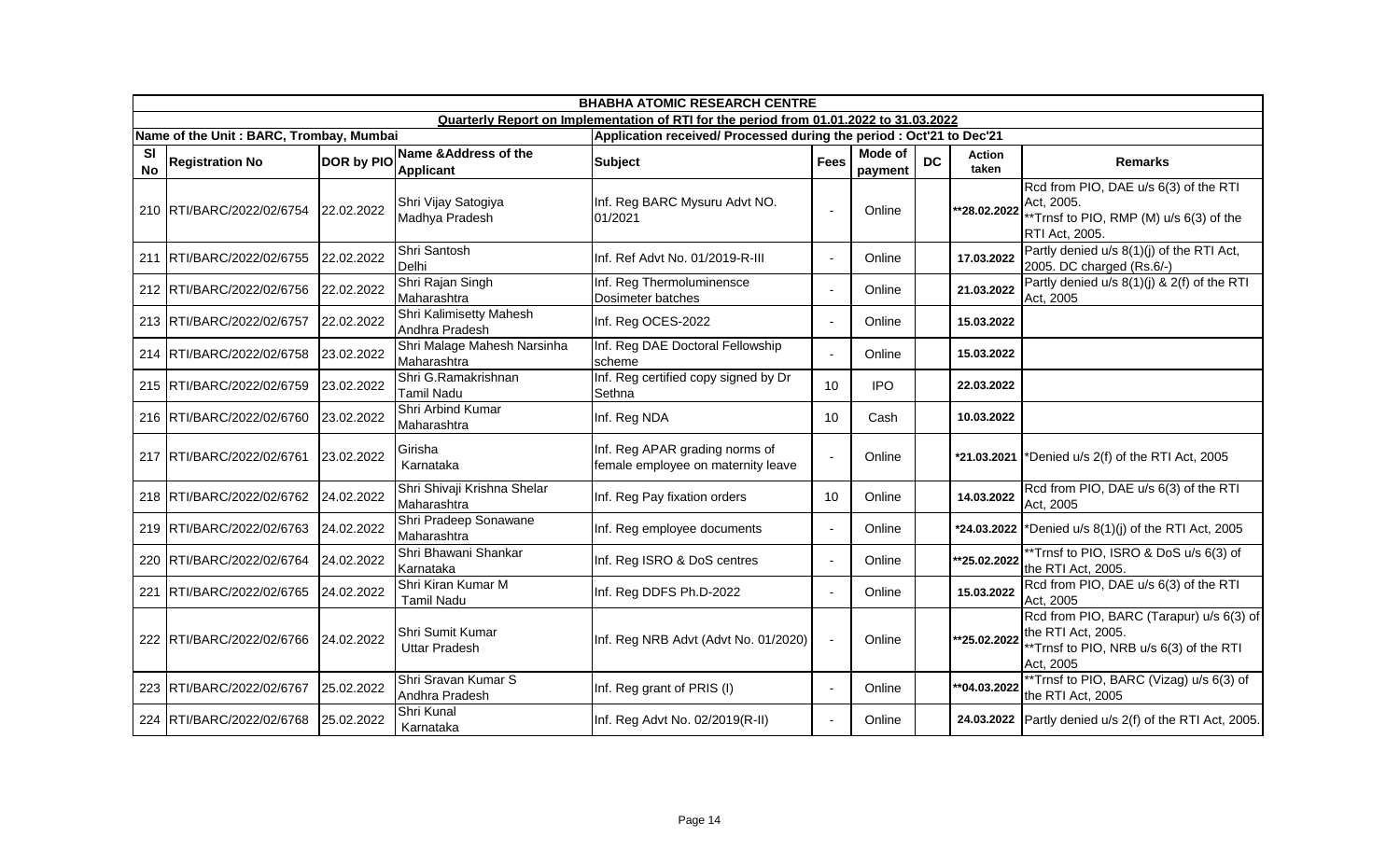|                        | <b>BHABHA ATOMIC RESEARCH CENTRE</b>    |                   |                                            |                                                                                        |                                                                      |                    |           |                 |                                                                                                                       |  |  |  |
|------------------------|-----------------------------------------|-------------------|--------------------------------------------|----------------------------------------------------------------------------------------|----------------------------------------------------------------------|--------------------|-----------|-----------------|-----------------------------------------------------------------------------------------------------------------------|--|--|--|
|                        |                                         |                   |                                            | Quarterly Report on Implementation of RTI for the period from 01.01.2022 to 31.03.2022 |                                                                      |                    |           |                 |                                                                                                                       |  |  |  |
|                        | Name of the Unit: BARC, Trombay, Mumbai |                   |                                            |                                                                                        | Application received/ Processed during the period : Oct'21 to Dec'21 |                    |           |                 |                                                                                                                       |  |  |  |
| <b>SI</b><br><b>No</b> | <b>Registration No</b>                  | <b>DOR by PIO</b> | Name & Address of the<br><b>Applicant</b>  | <b>Subject</b>                                                                         | <b>Fees</b>                                                          | Mode of<br>payment | <b>DC</b> | Action<br>taken | <b>Remarks</b>                                                                                                        |  |  |  |
|                        | 210 RTI/BARC/2022/02/6754               | 22.02.2022        | Shri Vijay Satogiya<br>Madhya Pradesh      | Inf. Reg BARC Mysuru Advt NO.<br>01/2021                                               | $\blacksquare$                                                       | Online             |           | **28.02.2022    | Rcd from PIO, DAE u/s 6(3) of the RTI<br>Act, 2005.<br>*Trnsf to PIO, RMP (M) u/s 6(3) of the<br>RTI Act, 2005.       |  |  |  |
|                        | 211 RTI/BARC/2022/02/6755               | 22.02.2022        | Shri Santosh<br>Delhi                      | Inf. Ref Advt No. 01/2019-R-III                                                        | $\blacksquare$                                                       | Online             |           | 17.03.2022      | Partly denied u/s 8(1)(j) of the RTI Act,<br>2005. DC charged (Rs.6/-)                                                |  |  |  |
|                        | 212 RTI/BARC/2022/02/6756               | 22.02.2022        | Shri Rajan Singh<br>Maharashtra            | Inf. Reg Thermoluminensce<br>Dosimeter batches                                         | $\mathbf{r}$                                                         | Online             |           | 21.03.2022      | Partly denied u/s 8(1)(j) & 2(f) of the RTI<br>Act, 2005                                                              |  |  |  |
|                        | 213 RTI/BARC/2022/02/6757               | 22.02.2022        | Shri Kalimisetty Mahesh<br>Andhra Pradesh  | Inf. Reg OCES-2022                                                                     | $\blacksquare$                                                       | Online             |           | 15.03.2022      |                                                                                                                       |  |  |  |
|                        | 214 RTI/BARC/2022/02/6758               | 23.02.2022        | Shri Malage Mahesh Narsinha<br>Maharashtra | Inf. Reg DAE Doctoral Fellowship<br>scheme                                             | $\mathbf{r}$                                                         | Online             |           | 15.03.2022      |                                                                                                                       |  |  |  |
|                        | 215 RTI/BARC/2022/02/6759               | 23.02.2022        | Shri G.Ramakrishnan<br><b>Tamil Nadu</b>   | Inf. Reg certified copy signed by Dr<br>Sethna                                         | 10                                                                   | <b>IPO</b>         |           | 22.03.2022      |                                                                                                                       |  |  |  |
|                        | 216 RTI/BARC/2022/02/6760               | 23.02.2022        | Shri Arbind Kumar<br>Maharashtra           | Inf. Reg NDA                                                                           | 10                                                                   | Cash               |           | 10.03.2022      |                                                                                                                       |  |  |  |
|                        | 217 RTI/BARC/2022/02/6761               | 23.02.2022        | Girisha<br>Karnataka                       | Inf. Reg APAR grading norms of<br>female employee on maternity leave                   | $\blacksquare$                                                       | Online             |           | *21.03.2021     | *Denied u/s 2(f) of the RTI Act, 2005                                                                                 |  |  |  |
|                        | 218 RTI/BARC/2022/02/6762               | 24.02.2022        | Shri Shivaji Krishna Shelar<br>Maharashtra | Inf. Reg Pay fixation orders                                                           | 10                                                                   | Online             |           | 14.03.2022      | Rcd from PIO, DAE u/s 6(3) of the RTI<br>Act, 2005                                                                    |  |  |  |
|                        | 219 RTI/BARC/2022/02/6763               | 24.02.2022        | Shri Pradeep Sonawane<br>Maharashtra       | Inf. Reg employee documents                                                            | $\mathbf{r}$                                                         | Online             |           | *24.03.2022     | *Denied u/s 8(1)(j) of the RTI Act, 2005                                                                              |  |  |  |
|                        | 220 RTI/BARC/2022/02/6764               | 24.02.2022        | Shri Bhawani Shankar<br>Karnataka          | Inf. Reg ISRO & DoS centres                                                            | $\mathbf{r}$                                                         | Online             |           | **25.02.2022    | **Trnsf to PIO, ISRO & DoS u/s 6(3) of<br>the RTI Act, 2005.                                                          |  |  |  |
|                        | 221 RTI/BARC/2022/02/6765               | 24.02.2022        | Shri Kiran Kumar M<br><b>Tamil Nadu</b>    | Inf. Reg DDFS Ph.D-2022                                                                | $\sim$                                                               | Online             |           | 15.03.2022      | Rcd from PIO, DAE u/s 6(3) of the RTI<br>Act, 2005                                                                    |  |  |  |
|                        | 222 RTI/BARC/2022/02/6766               | 24.02.2022        | Shri Sumit Kumar<br><b>Uttar Pradesh</b>   | Inf. Reg NRB Advt (Advt No. 01/2020)                                                   | $\sim$                                                               | Online             |           | **25.02.2022    | Rcd from PIO, BARC (Tarapur) u/s 6(3) of<br>the RTI Act, 2005.<br>*Trnsf to PIO, NRB u/s 6(3) of the RTI<br>Act, 2005 |  |  |  |
|                        | 223 RTI/BARC/2022/02/6767               | 25.02.2022        | Shri Sravan Kumar S<br>Andhra Pradesh      | Inf. Reg grant of PRIS (I)                                                             | $\sim$                                                               | Online             |           | **04.03.2022    | **Trnsf to PIO, BARC (Vizag) u/s 6(3) of<br>the RTI Act, 2005                                                         |  |  |  |
|                        | 224 RTI/BARC/2022/02/6768               | 25.02.2022        | Shri Kunal<br>Karnataka                    | Inf. Reg Advt No. 02/2019(R-II)                                                        | $\blacksquare$                                                       | Online             |           |                 | 24.03.2022 Partly denied u/s 2(f) of the RTI Act, 2005.                                                               |  |  |  |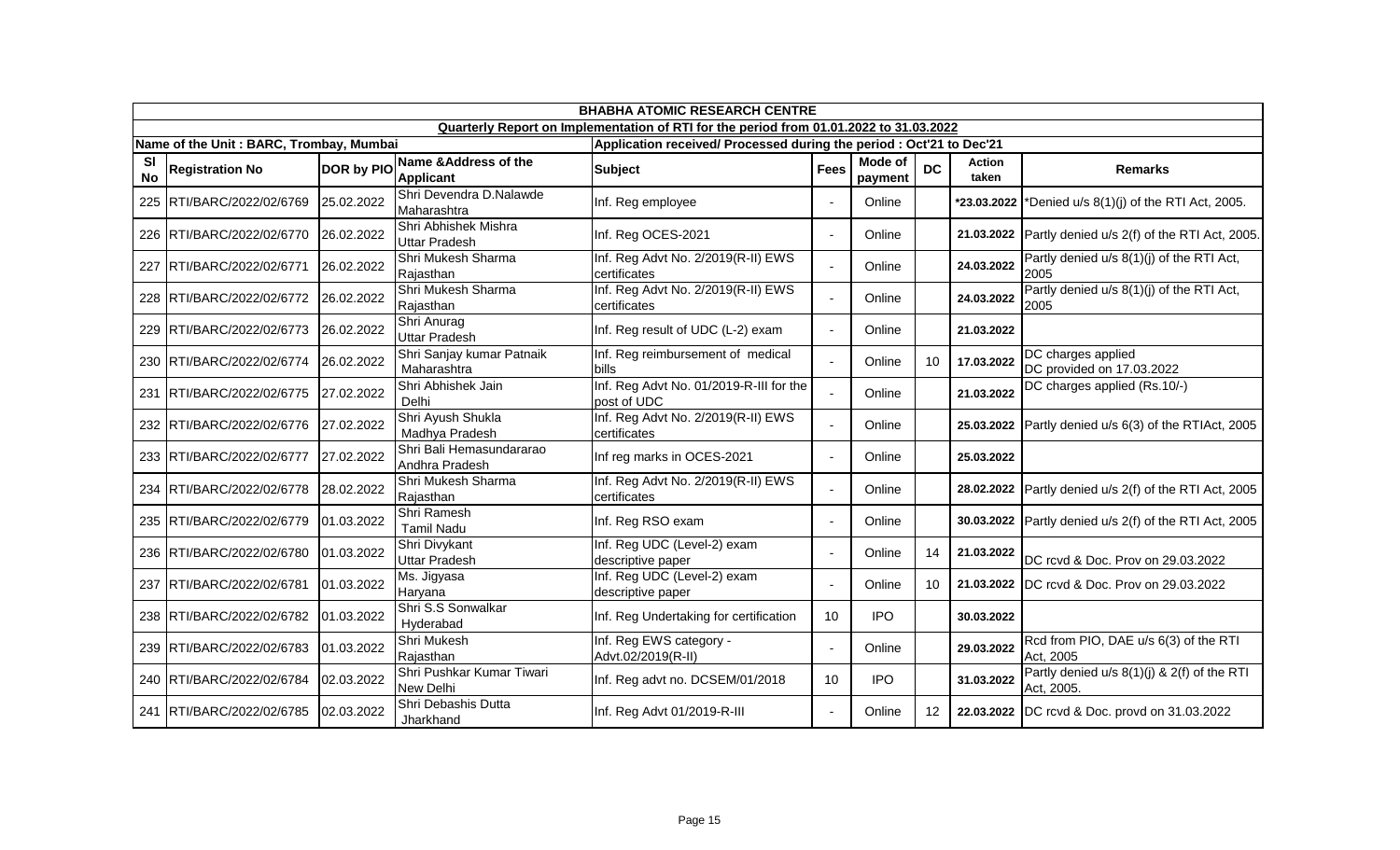|                 | <b>BHABHA ATOMIC RESEARCH CENTRE</b>    |                   |                                              |                                                                                        |                 |                    |                 |                        |                                                           |  |  |
|-----------------|-----------------------------------------|-------------------|----------------------------------------------|----------------------------------------------------------------------------------------|-----------------|--------------------|-----------------|------------------------|-----------------------------------------------------------|--|--|
|                 |                                         |                   |                                              | Quarterly Report on Implementation of RTI for the period from 01.01.2022 to 31.03.2022 |                 |                    |                 |                        |                                                           |  |  |
|                 | Name of the Unit: BARC, Trombay, Mumbai |                   |                                              | Application received/ Processed during the period : Oct'21 to Dec'21                   |                 |                    |                 |                        |                                                           |  |  |
| <b>SI</b><br>No | <b>Registration No</b>                  | <b>DOR by PIO</b> | Name & Address of the<br><b>Applicant</b>    | <b>Subject</b>                                                                         | <b>Fees</b>     | Mode of<br>payment | <b>DC</b>       | <b>Action</b><br>taken | <b>Remarks</b>                                            |  |  |
| 225             | RTI/BARC/2022/02/6769                   | 25.02.2022        | Shri Devendra D.Nalawde<br>Maharashtra       | Inf. Reg employee                                                                      |                 | Online             |                 | *23.03.2022            | Denied u/s 8(1)(j) of the RTI Act, 2005.                  |  |  |
|                 | 226 RTI/BARC/2022/02/6770               | 26.02.2022        | Shri Abhishek Mishra<br><b>Uttar Pradesh</b> | Inf. Reg OCES-2021                                                                     | $\blacksquare$  | Online             |                 |                        | 21.03.2022 Partly denied $u/s$ 2(f) of the RTI Act, 2005. |  |  |
| 227             | RTI/BARC/2022/02/6771                   | 26.02.2022        | Shri Mukesh Sharma<br>Rajasthan              | Inf. Reg Advt No. 2/2019(R-II) EWS<br>certificates                                     | $\mathbf{r}$    | Online             |                 | 24.03.2022             | Partly denied u/s 8(1)(j) of the RTI Act,<br>2005         |  |  |
|                 | 228 RTI/BARC/2022/02/6772               | 26.02.2022        | Shri Mukesh Sharma<br>Rajasthan              | Inf. Reg Advt No. 2/2019(R-II) EWS<br>certificates                                     | $\blacksquare$  | Online             |                 | 24.03.2022             | Partly denied u/s 8(1)(j) of the RTI Act,<br>2005         |  |  |
|                 | 229 RTI/BARC/2022/02/6773               | 26.02.2022        | Shri Anurag<br>Uttar Pradesh                 | Inf. Reg result of UDC (L-2) exam                                                      | $\sim$          | Online             |                 | 21.03.2022             |                                                           |  |  |
|                 | 230 RTI/BARC/2022/02/6774               | 26.02.2022        | Shri Sanjay kumar Patnaik<br>Maharashtra     | Inf. Reg reimbursement of medical<br>bills                                             |                 | Online             | 10 <sup>°</sup> | 17.03.2022             | DC charges applied<br>DC provided on 17.03.2022           |  |  |
| 231             | RTI/BARC/2022/02/6775                   | 27.02.2022        | Shri Abhishek Jain<br>Delhi                  | Inf. Reg Advt No. 01/2019-R-III for the<br>post of UDC                                 |                 | Online             |                 | 21.03.2022             | DC charges applied (Rs.10/-)                              |  |  |
|                 | 232 RTI/BARC/2022/02/6776               | 27.02.2022        | Shri Ayush Shukla<br>Madhya Pradesh          | Inf. Reg Advt No. 2/2019(R-II) EWS<br>certificates                                     | $\sim$          | Online             |                 |                        | 25.03.2022 Partly denied u/s 6(3) of the RTIAct, 2005     |  |  |
|                 | 233 RTI/BARC/2022/02/6777               | 27.02.2022        | Shri Bali Hemasundararao<br>Andhra Pradesh   | Inf reg marks in OCES-2021                                                             | $\blacksquare$  | Online             |                 | 25.03.2022             |                                                           |  |  |
|                 | 234 RTI/BARC/2022/02/6778               | 28.02.2022        | Shri Mukesh Sharma<br>Rajasthan              | Inf. Reg Advt No. 2/2019(R-II) EWS<br>certificates                                     |                 | Online             |                 | 28.02.2022             | Partly denied u/s 2(f) of the RTI Act, 2005               |  |  |
|                 | 235 RTI/BARC/2022/02/6779               | 01.03.2022        | Shri Ramesh<br><b>Tamil Nadu</b>             | Inf. Reg RSO exam                                                                      | $\blacksquare$  | Online             |                 |                        | 30.03.2022 Partly denied u/s 2(f) of the RTI Act, 2005    |  |  |
|                 | 236 RTI/BARC/2022/02/6780               | 01.03.2022        | Shri Divykant<br><b>Uttar Pradesh</b>        | Inf. Reg UDC (Level-2) exam<br>descriptive paper                                       | $\overline{a}$  | Online             | 14              | 21.03.2022             | DC rcvd & Doc. Prov on 29.03.2022                         |  |  |
| 237             | RTI/BARC/2022/02/6781                   | 01.03.2022        | Ms. Jigyasa<br>Haryana                       | Inf. Reg UDC (Level-2) exam<br>descriptive paper                                       | $\blacksquare$  | Online             | 10 <sup>1</sup> |                        | 21.03.2022   DC rcvd & Doc. Prov on 29.03.2022            |  |  |
|                 | 238 RTI/BARC/2022/02/6782               | 01.03.2022        | Shri S.S Sonwalkar<br>Hyderabad              | Inf. Reg Undertaking for certification                                                 | 10              | <b>IPO</b>         |                 | 30.03.2022             |                                                           |  |  |
|                 | 239 RTI/BARC/2022/02/6783               | 01.03.2022        | Shri Mukesh<br>Rajasthan                     | Inf. Reg EWS category -<br>Advt.02/2019(R-II)                                          | $\blacksquare$  | Online             |                 | 29.03.2022             | Rcd from PIO, DAE u/s 6(3) of the RTI<br>Act, 2005        |  |  |
|                 | 240 RTI/BARC/2022/02/6784               | 02.03.2022        | Shri Pushkar Kumar Tiwari<br>New Delhi       | Inf. Reg advt no. DCSEM/01/2018                                                        | 10 <sup>°</sup> | <b>IPO</b>         |                 | 31.03.2022             | Partly denied u/s 8(1)(j) & 2(f) of the RTI<br>Act, 2005. |  |  |
|                 | 241 RTI/BARC/2022/02/6785               | 02.03.2022        | Shri Debashis Dutta<br>Jharkhand             | Inf. Reg Advt 01/2019-R-III                                                            | $\sim$          | Online             | 12 <sup>°</sup> |                        | 22.03.2022   DC rcvd & Doc. provd on 31.03.2022           |  |  |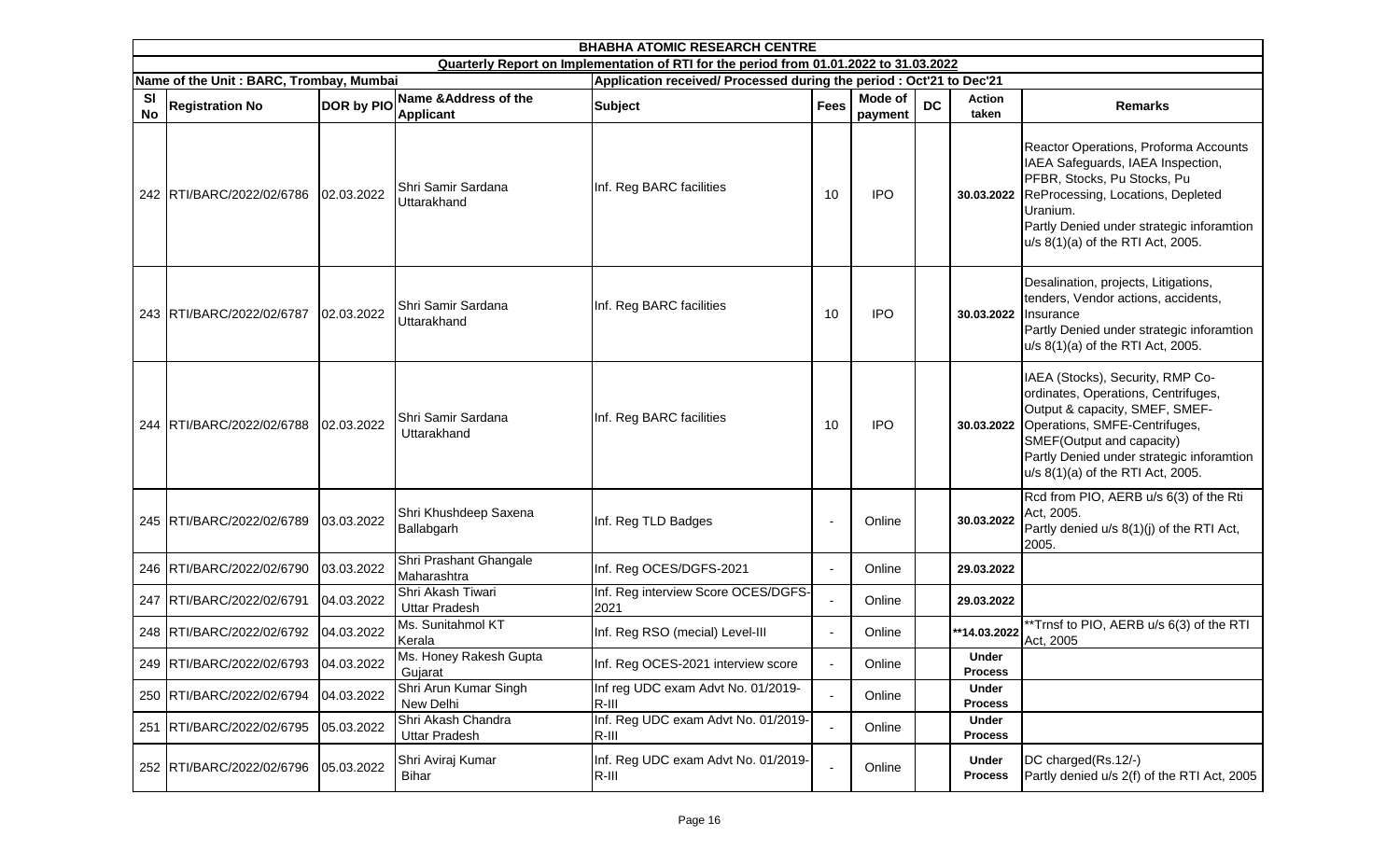|                        | <b>BHABHA ATOMIC RESEARCH CENTRE</b><br>Quarterly Report on Implementation of RTI for the period from 01.01.2022 to 31.03.2022 |            |                                            |                                                                      |                          |                    |           |                                |                                                                                                                                                                                                                                                           |  |  |  |
|------------------------|--------------------------------------------------------------------------------------------------------------------------------|------------|--------------------------------------------|----------------------------------------------------------------------|--------------------------|--------------------|-----------|--------------------------------|-----------------------------------------------------------------------------------------------------------------------------------------------------------------------------------------------------------------------------------------------------------|--|--|--|
|                        |                                                                                                                                |            |                                            |                                                                      |                          |                    |           |                                |                                                                                                                                                                                                                                                           |  |  |  |
|                        | Name of the Unit: BARC, Trombay, Mumbai                                                                                        |            |                                            | Application received/ Processed during the period : Oct'21 to Dec'21 |                          |                    |           |                                |                                                                                                                                                                                                                                                           |  |  |  |
| <b>SI</b><br><b>No</b> | <b>Registration No</b>                                                                                                         | DOR by PIO | Name & Address of the<br><b>Applicant</b>  | <b>Subject</b>                                                       | <b>Fees</b>              | Mode of<br>payment | <b>DC</b> | <b>Action</b><br>taken         | <b>Remarks</b>                                                                                                                                                                                                                                            |  |  |  |
|                        | 242 RTI/BARC/2022/02/6786                                                                                                      | 02.03.2022 | Shri Samir Sardana<br>Uttarakhand          | Inf. Reg BARC facilities                                             | 10                       | <b>IPO</b>         |           | 30.03.2022                     | Reactor Operations, Proforma Accounts<br>IAEA Safeguards, IAEA Inspection,<br>PFBR, Stocks, Pu Stocks, Pu<br>ReProcessing, Locations, Depleted<br>Uranium.<br>Partly Denied under strategic inforamtion<br>u/s 8(1)(a) of the RTI Act, 2005.              |  |  |  |
|                        | 243 RTI/BARC/2022/02/6787                                                                                                      | 02.03.2022 | Shri Samir Sardana<br>Uttarakhand          | Inf. Reg BARC facilities                                             | 10                       | <b>IPO</b>         |           | 30.03.2022                     | Desalination, projects, Litigations,<br>tenders, Vendor actions, accidents,<br>Insurance<br>Partly Denied under strategic inforamtion<br>u/s 8(1)(a) of the RTI Act, 2005.                                                                                |  |  |  |
|                        | 244 RTI/BARC/2022/02/6788                                                                                                      | 02.03.2022 | Shri Samir Sardana<br>Uttarakhand          | Inf. Reg BARC facilities                                             | 10                       | <b>IPO</b>         |           | 30.03.2022                     | IAEA (Stocks), Security, RMP Co-<br>ordinates, Operations, Centrifuges,<br>Output & capacity, SMEF, SMEF-<br>Operations, SMFE-Centrifuges,<br>SMEF(Output and capacity)<br>Partly Denied under strategic inforamtion<br>u/s 8(1)(a) of the RTI Act, 2005. |  |  |  |
|                        | 245 RTI/BARC/2022/02/6789                                                                                                      | 03.03.2022 | Shri Khushdeep Saxena<br>Ballabgarh        | Inf. Reg TLD Badges                                                  |                          | Online             |           | 30.03.2022                     | Rcd from PIO, AERB u/s 6(3) of the Rti<br>Act, 2005.<br>Partly denied u/s 8(1)(j) of the RTI Act,<br>2005.                                                                                                                                                |  |  |  |
|                        | 246 RTI/BARC/2022/02/6790                                                                                                      | 03.03.2022 | Shri Prashant Ghangale<br>Maharashtra      | Inf. Reg OCES/DGFS-2021                                              | $\blacksquare$           | Online             |           | 29.03.2022                     |                                                                                                                                                                                                                                                           |  |  |  |
|                        | 247 RTI/BARC/2022/02/6791                                                                                                      | 04.03.2022 | Shri Akash Tiwari<br><b>Uttar Pradesh</b>  | Inf. Reg interview Score OCES/DGFS-<br>2021                          | ÷,                       | Online             |           | 29.03.2022                     |                                                                                                                                                                                                                                                           |  |  |  |
|                        | 248 RTI/BARC/2022/02/6792                                                                                                      | 04.03.2022 | Ms. Sunitahmol KT<br>Kerala                | Inf. Reg RSO (mecial) Level-III                                      | $\blacksquare$           | Online             |           | **14.03.2022                   | **Trnsf to PIO, AERB u/s 6(3) of the RTI<br>Act, 2005                                                                                                                                                                                                     |  |  |  |
|                        | 249 RTI/BARC/2022/02/6793                                                                                                      | 04.03.2022 | Ms. Honey Rakesh Gupta<br>Gujarat          | Inf. Reg OCES-2021 interview score                                   | $\overline{\phantom{a}}$ | Online             |           | Under<br><b>Process</b>        |                                                                                                                                                                                                                                                           |  |  |  |
|                        | 250 RTI/BARC/2022/02/6794                                                                                                      | 04.03.2022 | Shri Arun Kumar Singh<br>New Delhi         | Inf reg UDC exam Advt No. 01/2019-<br>$R-III$                        | $\blacksquare$           | Online             |           | <b>Under</b><br><b>Process</b> |                                                                                                                                                                                                                                                           |  |  |  |
|                        | 251 RTI/BARC/2022/02/6795                                                                                                      | 05.03.2022 | Shri Akash Chandra<br><b>Uttar Pradesh</b> | Inf. Reg UDC exam Advt No. 01/2019-<br>$R-III$                       | $\blacksquare$           | Online             |           | Under<br><b>Process</b>        |                                                                                                                                                                                                                                                           |  |  |  |
|                        | 252 RTI/BARC/2022/02/6796                                                                                                      | 05.03.2022 | Shri Aviraj Kumar<br><b>Bihar</b>          | Inf. Reg UDC exam Advt No. 01/2019-<br>R-III                         | $\overline{a}$           | Online             |           | Under<br><b>Process</b>        | DC charged(Rs.12/-)<br>Partly denied u/s 2(f) of the RTI Act, 2005                                                                                                                                                                                        |  |  |  |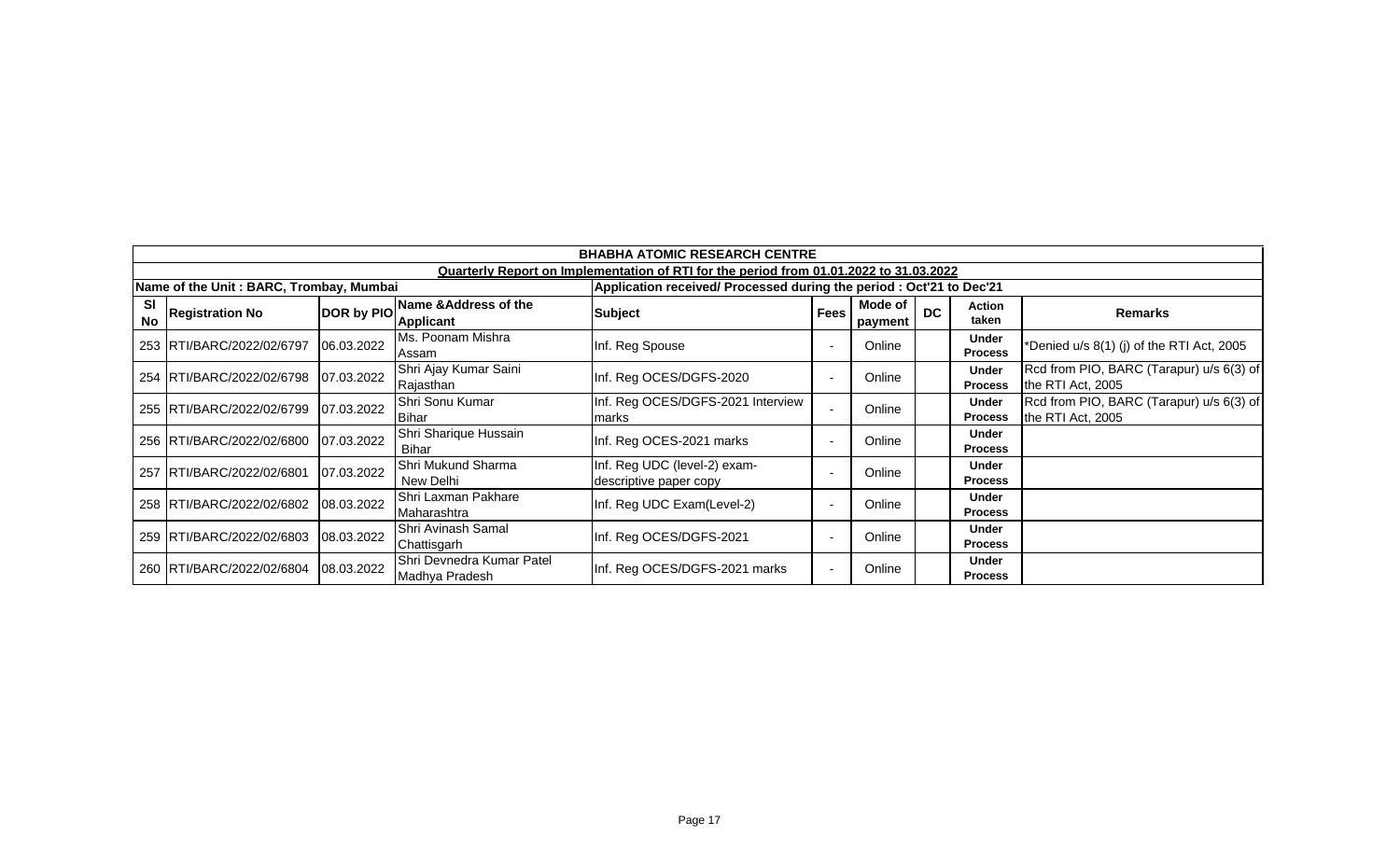|                 | <b>BHABHA ATOMIC RESEARCH CENTRE</b>    |            |                                             |                                                                                        |                          |                    |           |                                |                                                               |  |  |  |
|-----------------|-----------------------------------------|------------|---------------------------------------------|----------------------------------------------------------------------------------------|--------------------------|--------------------|-----------|--------------------------------|---------------------------------------------------------------|--|--|--|
|                 |                                         |            |                                             | Quarterly Report on Implementation of RTI for the period from 01.01.2022 to 31.03.2022 |                          |                    |           |                                |                                                               |  |  |  |
|                 | Name of the Unit: BARC, Trombay, Mumbai |            |                                             | Application received/ Processed during the period : Oct'21 to Dec'21                   |                          |                    |           |                                |                                                               |  |  |  |
| SI<br><b>No</b> | <b>Registration No</b>                  | DOR by PIO | Name & Address of the<br><b>Applicant</b>   | Subject                                                                                | <b>Fees</b>              | Mode of<br>payment | <b>DC</b> | <b>Action</b><br>taken         | Remarks                                                       |  |  |  |
|                 | 253   RTI/BARC/2022/02/6797             | 06.03.2022 | Ms. Poonam Mishra<br>Assam                  | Inf. Reg Spouse                                                                        | $\overline{a}$           | Online             |           | Under<br><b>Process</b>        | *Denied u/s 8(1) (j) of the RTI Act, 2005                     |  |  |  |
|                 | 254 RTI/BARC/2022/02/6798               | 07.03.2022 | Shri Ajay Kumar Saini<br>Rajasthan          | Inf. Reg OCES/DGFS-2020                                                                |                          | Online             |           | <b>Under</b><br><b>Process</b> | Rcd from PIO, BARC (Tarapur) u/s 6(3) of<br>the RTI Act, 2005 |  |  |  |
|                 | 255 RTI/BARC/2022/02/6799               | 07.03.2022 | Shri Sonu Kumar<br><b>Bihar</b>             | Inf. Reg OCES/DGFS-2021 Interview<br>marks                                             |                          | Online             |           | <b>Under</b><br><b>Process</b> | Rcd from PIO, BARC (Tarapur) u/s 6(3) of<br>the RTI Act, 2005 |  |  |  |
|                 | 256 RTI/BARC/2022/02/6800               | 07.03.2022 | Shri Sharique Hussain<br>Bihar              | Inf. Reg OCES-2021 marks                                                               | $\overline{\phantom{a}}$ | Online             |           | <b>Under</b><br><b>Process</b> |                                                               |  |  |  |
|                 | 257 IRTI/BARC/2022/02/6801              | 07.03.2022 | Shri Mukund Sharma<br>New Delhi             | Inf. Reg UDC (level-2) exam-<br>descriptive paper copy                                 |                          | Online             |           | <b>Under</b><br><b>Process</b> |                                                               |  |  |  |
|                 | 258 RTI/BARC/2022/02/6802               | 08.03.2022 | Shri Laxman Pakhare<br>Maharashtra          | Inf. Reg UDC Exam(Level-2)                                                             | $\overline{a}$           | Online             |           | <b>Under</b><br><b>Process</b> |                                                               |  |  |  |
|                 | 259 RTI/BARC/2022/02/6803               | 08.03.2022 | Shri Avinash Samal<br>Chattisgarh           | Inf. Reg OCES/DGFS-2021                                                                | $\overline{a}$           | Online             |           | <b>Under</b><br><b>Process</b> |                                                               |  |  |  |
|                 | 260 RTI/BARC/2022/02/6804               | 08.03.2022 | Shri Devnedra Kumar Patel<br>Madhya Pradesh | Inf. Reg OCES/DGFS-2021 marks                                                          | $\overline{\phantom{0}}$ | Online             |           | <b>Under</b><br><b>Process</b> |                                                               |  |  |  |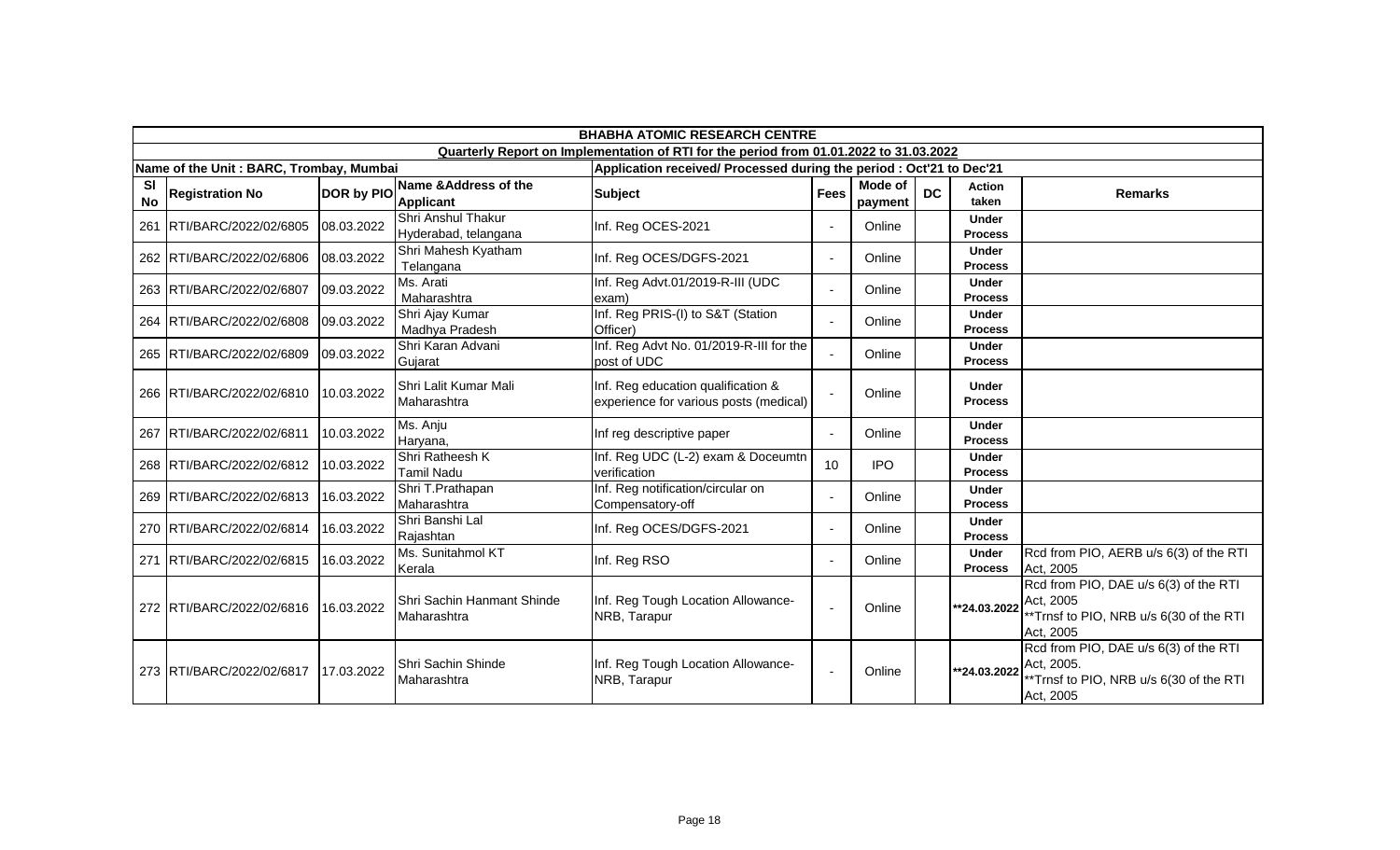|                 |                                         |            |                                            | <b>BHABHA ATOMIC RESEARCH CENTRE</b>                                                   |                 |                    |           |                                |                                                                                                            |
|-----------------|-----------------------------------------|------------|--------------------------------------------|----------------------------------------------------------------------------------------|-----------------|--------------------|-----------|--------------------------------|------------------------------------------------------------------------------------------------------------|
|                 |                                         |            |                                            | Quarterly Report on Implementation of RTI for the period from 01.01.2022 to 31.03.2022 |                 |                    |           |                                |                                                                                                            |
|                 | Name of the Unit: BARC, Trombay, Mumbai |            |                                            | Application received/ Processed during the period : Oct'21 to Dec'21                   |                 |                    |           |                                |                                                                                                            |
| SI<br><b>No</b> | <b>Registration No</b>                  | DOR by PIO | Name & Address of the<br><b>Applicant</b>  | <b>Subject</b>                                                                         | <b>Fees</b>     | Mode of<br>payment | <b>DC</b> | <b>Action</b><br>taken         | <b>Remarks</b>                                                                                             |
| 261             | RTI/BARC/2022/02/6805                   | 08.03.2022 | Shri Anshul Thakur<br>Hyderabad, telangana | Inf. Reg OCES-2021                                                                     | $\blacksquare$  | Online             |           | <b>Under</b><br><b>Process</b> |                                                                                                            |
|                 | 262 RTI/BARC/2022/02/6806               | 08.03.2022 | Shri Mahesh Kyatham<br>Telangana           | Inf. Reg OCES/DGFS-2021                                                                | $\sim$          | Online             |           | <b>Under</b><br><b>Process</b> |                                                                                                            |
|                 | 263 RTI/BARC/2022/02/6807               | 09.03.2022 | Ms. Arati<br>Maharashtra                   | Inf. Reg Advt.01/2019-R-III (UDC<br>exam)                                              | $\sim$          | Online             |           | <b>Under</b><br><b>Process</b> |                                                                                                            |
|                 | 264 RTI/BARC/2022/02/6808               | 09.03.2022 | Shri Ajay Kumar<br>Madhya Pradesh          | Inf. Reg PRIS-(I) to S&T (Station<br>Officer)                                          | $\blacksquare$  | Online             |           | <b>Under</b><br><b>Process</b> |                                                                                                            |
|                 | 265 RTI/BARC/2022/02/6809               | 09.03.2022 | Shri Karan Advani<br>Gujarat               | Inf. Reg Advt No. 01/2019-R-III for the<br>post of UDC                                 | $\blacksquare$  | Online             |           | <b>Under</b><br><b>Process</b> |                                                                                                            |
|                 | 266 RTI/BARC/2022/02/6810               | 10.03.2022 | Shri Lalit Kumar Mali<br>Maharashtra       | Inf. Reg education qualification &<br>experience for various posts (medical)           | $\sim$          | Online             |           | <b>Under</b><br><b>Process</b> |                                                                                                            |
|                 | 267 RTI/BARC/2022/02/6811               | 10.03.2022 | Ms. Anju<br>Haryana,                       | Inf reg descriptive paper                                                              | $\sim$          | Online             |           | <b>Under</b><br><b>Process</b> |                                                                                                            |
|                 | 268 RTI/BARC/2022/02/6812               | 10.03.2022 | Shri Ratheesh K<br>Tamil Nadu              | Inf. Reg UDC (L-2) exam & Doceumtn<br>verification                                     | 10 <sup>1</sup> | <b>IPO</b>         |           | <b>Under</b><br><b>Process</b> |                                                                                                            |
|                 | 269 RTI/BARC/2022/02/6813               | 16.03.2022 | Shri T.Prathapan<br>Maharashtra            | Inf. Reg notification/circular on<br>Compensatory-off                                  | $\blacksquare$  | Online             |           | <b>Under</b><br><b>Process</b> |                                                                                                            |
|                 | 270 RTI/BARC/2022/02/6814               | 16.03.2022 | Shri Banshi Lal<br>Rajashtan               | Inf. Reg OCES/DGFS-2021                                                                | $\blacksquare$  | Online             |           | <b>Under</b><br><b>Process</b> |                                                                                                            |
|                 | 271 RTI/BARC/2022/02/6815               | 16.03.2022 | Ms. Sunitahmol KT<br>Kerala                | Inf. Reg RSO                                                                           | $\blacksquare$  | Online             |           | <b>Under</b><br><b>Process</b> | Rcd from PIO, AERB u/s 6(3) of the RTI<br>Act, 2005                                                        |
|                 | 272 RTI/BARC/2022/02/6816               | 16.03.2022 | Shri Sachin Hanmant Shinde<br>Maharashtra  | Inf. Reg Tough Location Allowance-<br>NRB, Tarapur                                     | $\blacksquare$  | Online             |           | **24.03.2022                   | Rcd from PIO, DAE u/s 6(3) of the RTI<br>Act. 2005<br>*Trnsf to PIO, NRB u/s 6(30 of the RTI<br>Act, 2005  |
|                 | 273 RTI/BARC/2022/02/6817               | 17.03.2022 | Shri Sachin Shinde<br>Maharashtra          | Inf. Reg Tough Location Allowance-<br>NRB, Tarapur                                     | $\blacksquare$  | Online             |           | **24.03.2022                   | Rcd from PIO, DAE u/s 6(3) of the RTI<br>Act. 2005.<br>*Trnsf to PIO, NRB u/s 6(30 of the RTI<br>Act, 2005 |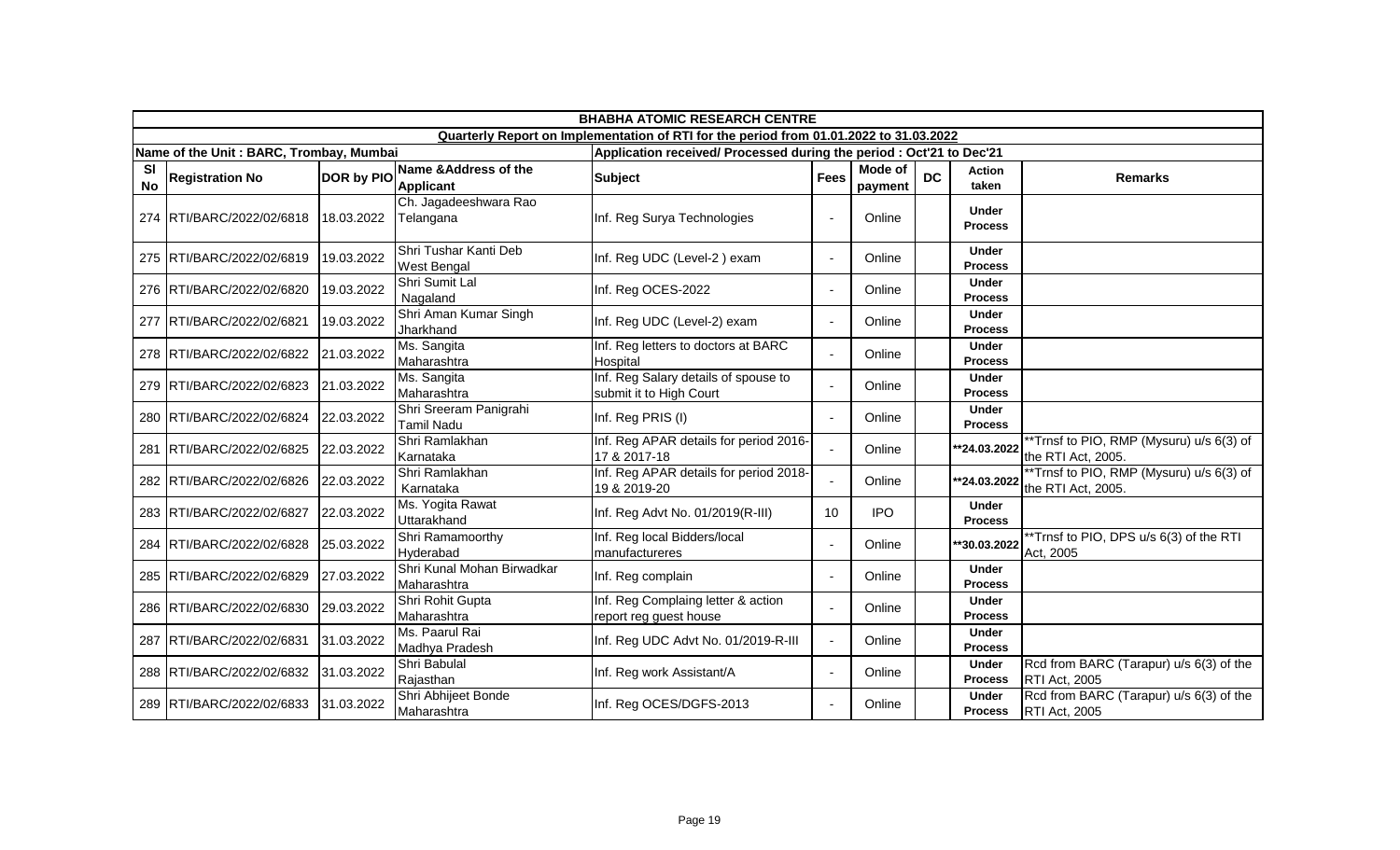|                        | <b>BHABHA ATOMIC RESEARCH CENTRE</b>    |                   |                                             |                                                                                        |                 |                           |           |                                |                                                                 |  |  |
|------------------------|-----------------------------------------|-------------------|---------------------------------------------|----------------------------------------------------------------------------------------|-----------------|---------------------------|-----------|--------------------------------|-----------------------------------------------------------------|--|--|
|                        |                                         |                   |                                             | Quarterly Report on Implementation of RTI for the period from 01.01.2022 to 31.03.2022 |                 |                           |           |                                |                                                                 |  |  |
|                        | Name of the Unit: BARC, Trombay, Mumbai |                   |                                             | Application received/ Processed during the period : Oct'21 to Dec'21                   |                 |                           |           |                                |                                                                 |  |  |
| <b>SI</b><br><b>No</b> | <b>Registration No</b>                  | <b>DOR by PIO</b> | Name & Address of the<br><b>Applicant</b>   | <b>Subject</b>                                                                         | <b>Fees</b>     | <b>Mode of</b><br>payment | <b>DC</b> | Action<br>taken                | <b>Remarks</b>                                                  |  |  |
|                        | 274 RTI/BARC/2022/02/6818               | 18.03.2022        | Ch. Jagadeeshwara Rao<br>Telangana          | Inf. Reg Surya Technologies                                                            | $\blacksquare$  | Online                    |           | <b>Under</b><br><b>Process</b> |                                                                 |  |  |
|                        | 275 RTI/BARC/2022/02/6819               | 19.03.2022        | Shri Tushar Kanti Deb<br><b>West Bengal</b> | Inf. Reg UDC (Level-2) exam                                                            | $\blacksquare$  | Online                    |           | <b>Under</b><br><b>Process</b> |                                                                 |  |  |
|                        | 276 RTI/BARC/2022/02/6820               | 19.03.2022        | Shri Sumit Lal<br>Nagaland                  | Inf. Reg OCES-2022                                                                     | $\blacksquare$  | Online                    |           | <b>Under</b><br><b>Process</b> |                                                                 |  |  |
|                        | 277 RTI/BARC/2022/02/6821               | 19.03.2022        | Shri Aman Kumar Singh<br>Jharkhand          | Inf. Reg UDC (Level-2) exam                                                            | $\blacksquare$  | Online                    |           | <b>Under</b><br><b>Process</b> |                                                                 |  |  |
|                        | 278 RTI/BARC/2022/02/6822               | 21.03.2022        | Ms. Sangita<br>Maharashtra                  | Inf. Reg letters to doctors at BARC<br>Hospital                                        | $\blacksquare$  | Online                    |           | <b>Under</b><br><b>Process</b> |                                                                 |  |  |
|                        | 279 RTI/BARC/2022/02/6823               | 21.03.2022        | Ms. Sangita<br>Maharashtra                  | Inf. Reg Salary details of spouse to<br>submit it to High Court                        | $\blacksquare$  | Online                    |           | <b>Under</b><br><b>Process</b> |                                                                 |  |  |
|                        | 280 RTI/BARC/2022/02/6824               | 22.03.2022        | Shri Sreeram Panigrahi<br>Tamil Nadu        | Inf. Reg PRIS (I)                                                                      | $\blacksquare$  | Online                    |           | <b>Under</b><br><b>Process</b> |                                                                 |  |  |
|                        | 281 RTI/BARC/2022/02/6825               | 22.03.2022        | Shri Ramlakhan<br>Karnataka                 | Inf. Reg APAR details for period 2016-<br>17 & 2017-18                                 | $\sim$          | Online                    |           | **24.03.2022                   | **Trnsf to PIO, RMP (Mysuru) u/s 6(3) of<br>the RTI Act, 2005.  |  |  |
|                        | 282 RTI/BARC/2022/02/6826               | 22.03.2022        | Shri Ramlakhan<br>Karnataka                 | Inf. Reg APAR details for period 2018-<br>19 & 2019-20                                 | $\blacksquare$  | Online                    |           | **24.03.2022                   | **Trnsf to PIO, RMP (Mysuru) u/s 6(3) of<br>the RTI Act, 2005.  |  |  |
|                        | 283 RTI/BARC/2022/02/6827               | 22.03.2022        | Ms. Yogita Rawat<br>Uttarakhand             | Inf. Reg Advt No. 01/2019(R-III)                                                       | 10 <sup>°</sup> | <b>IPO</b>                |           | <b>Under</b><br><b>Process</b> |                                                                 |  |  |
|                        | 284 RTI/BARC/2022/02/6828               | 25.03.2022        | Shri Ramamoorthy<br>Hyderabad               | Inf. Reg local Bidders/local<br>manufactureres                                         | $\blacksquare$  | Online                    |           | **30.03.2022                   | **Trnsf to PIO, DPS u/s 6(3) of the RTI<br>Act, 2005            |  |  |
|                        | 285 RTI/BARC/2022/02/6829               | 27.03.2022        | Shri Kunal Mohan Birwadkar<br>Maharashtra   | Inf. Reg complain                                                                      | $\blacksquare$  | Online                    |           | <b>Under</b><br><b>Process</b> |                                                                 |  |  |
|                        | 286 RTI/BARC/2022/02/6830               | 29.03.2022        | Shri Rohit Gupta<br>Maharashtra             | Inf. Reg Complaing letter & action<br>report reg guest house                           | $\blacksquare$  | Online                    |           | Under<br><b>Process</b>        |                                                                 |  |  |
|                        | 287 RTI/BARC/2022/02/6831               | 31.03.2022        | Ms. Paarul Rai<br>Madhya Pradesh            | Inf. Reg UDC Advt No. 01/2019-R-III                                                    | $\sim$          | Online                    |           | <b>Under</b><br><b>Process</b> |                                                                 |  |  |
|                        | 288 RTI/BARC/2022/02/6832               | 31.03.2022        | Shri Babulal<br>Rajasthan                   | Inf. Reg work Assistant/A                                                              | $\blacksquare$  | Online                    |           | <b>Under</b><br><b>Process</b> | Rcd from BARC (Tarapur) u/s 6(3) of the<br>RTI Act, 2005        |  |  |
|                        | 289 RTI/BARC/2022/02/6833               | 31.03.2022        | Shri Abhijeet Bonde<br>Maharashtra          | Inf. Reg OCES/DGFS-2013                                                                | $\sim$          | Online                    |           | <b>Under</b><br><b>Process</b> | Rcd from BARC (Tarapur) u/s 6(3) of the<br><b>RTI Act, 2005</b> |  |  |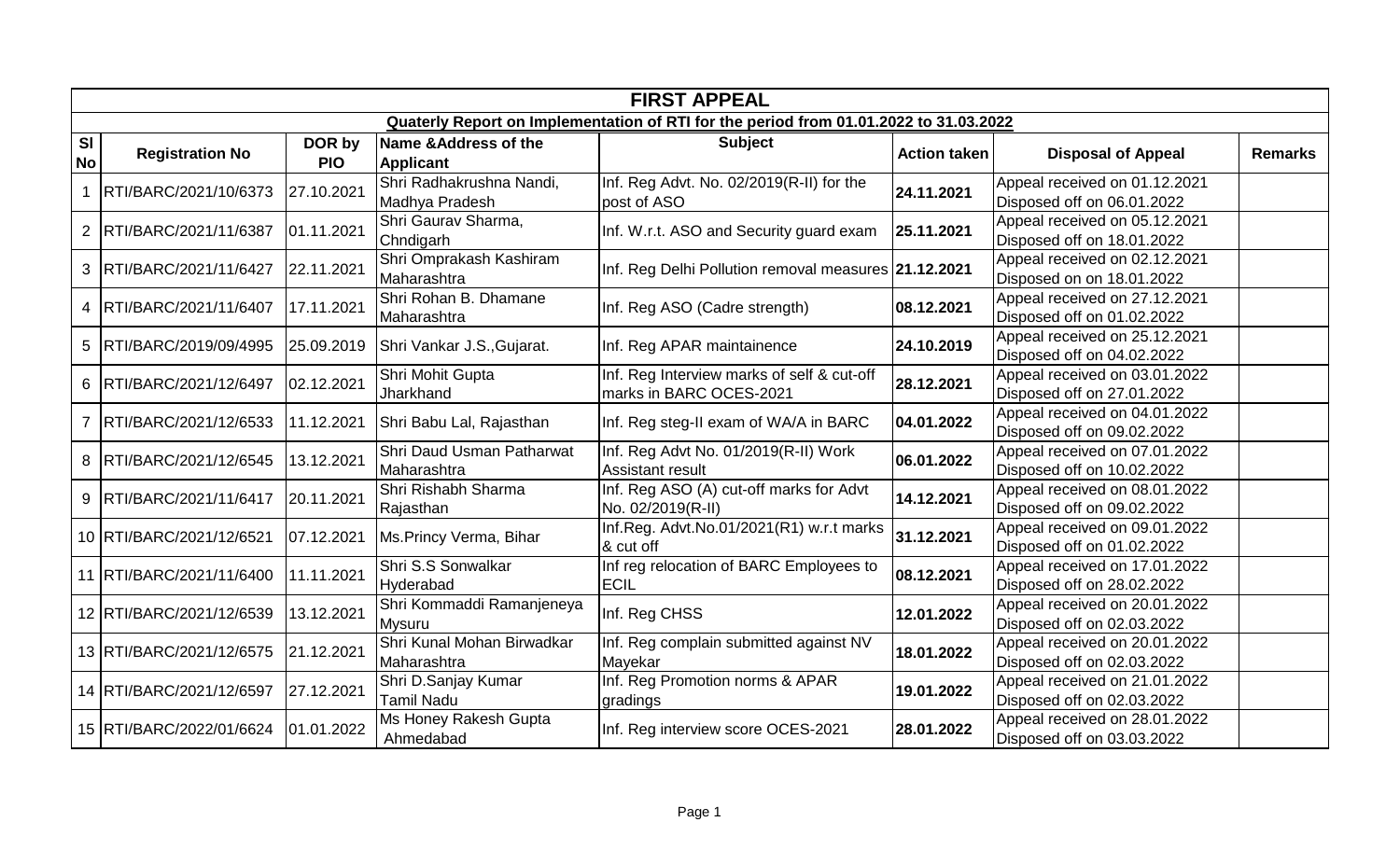|                        | <b>FIRST APPEAL</b>       |                      |                                            |                                                                                       |                     |                                                             |                |  |  |  |  |  |
|------------------------|---------------------------|----------------------|--------------------------------------------|---------------------------------------------------------------------------------------|---------------------|-------------------------------------------------------------|----------------|--|--|--|--|--|
|                        |                           |                      |                                            | Quaterly Report on Implementation of RTI for the period from 01.01.2022 to 31.03.2022 |                     |                                                             |                |  |  |  |  |  |
| <b>SI</b><br><b>No</b> | <b>Registration No</b>    | DOR by<br><b>PIO</b> | Name & Address of the<br><b>Applicant</b>  | <b>Subject</b>                                                                        | <b>Action taken</b> | <b>Disposal of Appeal</b>                                   | <b>Remarks</b> |  |  |  |  |  |
|                        | RTI/BARC/2021/10/6373     | 27.10.2021           | Shri Radhakrushna Nandi,<br>Madhya Pradesh | Inf. Reg Advt. No. 02/2019(R-II) for the<br>post of ASO                               | 24.11.2021          | Appeal received on 01.12.2021<br>Disposed off on 06.01.2022 |                |  |  |  |  |  |
|                        | 2 RTI/BARC/2021/11/6387   | 01.11.2021           | Shri Gaurav Sharma,<br>Chndigarh           | Inf. W.r.t. ASO and Security guard exam                                               | 25.11.2021          | Appeal received on 05.12.2021<br>Disposed off on 18.01.2022 |                |  |  |  |  |  |
|                        | 3   RTI/BARC/2021/11/6427 | 22.11.2021           | Shri Omprakash Kashiram<br>Maharashtra     | Inf. Reg Delhi Pollution removal measures 21.12.2021                                  |                     | Appeal received on 02.12.2021<br>Disposed on on 18.01.2022  |                |  |  |  |  |  |
|                        | 4   RTI/BARC/2021/11/6407 | 17.11.2021           | Shri Rohan B. Dhamane<br>Maharashtra       | Inf. Reg ASO (Cadre strength)                                                         | 08.12.2021          | Appeal received on 27.12.2021<br>Disposed off on 01.02.2022 |                |  |  |  |  |  |
|                        | 5   RTI/BARC/2019/09/4995 | 25.09.2019           | Shri Vankar J.S., Gujarat.                 | Inf. Reg APAR maintainence                                                            | 24.10.2019          | Appeal received on 25.12.2021<br>Disposed off on 04.02.2022 |                |  |  |  |  |  |
|                        | 6 RTI/BARC/2021/12/6497   | 02.12.2021           | Shri Mohit Gupta<br>Jharkhand              | Inf. Reg Interview marks of self & cut-off<br>marks in BARC OCES-2021                 | 28.12.2021          | Appeal received on 03.01.2022<br>Disposed off on 27.01.2022 |                |  |  |  |  |  |
|                        | 7   RTI/BARC/2021/12/6533 | 11.12.2021           | Shri Babu Lal, Rajasthan                   | Inf. Reg steg-II exam of WA/A in BARC                                                 | 04.01.2022          | Appeal received on 04.01.2022<br>Disposed off on 09.02.2022 |                |  |  |  |  |  |
|                        | 8 RTI/BARC/2021/12/6545   | 13.12.2021           | Shri Daud Usman Patharwat<br>Maharashtra   | Inf. Reg Advt No. 01/2019(R-II) Work<br>Assistant result                              | 06.01.2022          | Appeal received on 07.01.2022<br>Disposed off on 10.02.2022 |                |  |  |  |  |  |
|                        | 9 RTI/BARC/2021/11/6417   | 20.11.2021           | Shri Rishabh Sharma<br>Rajasthan           | Inf. Reg ASO (A) cut-off marks for Advt<br>No. 02/2019(R-II)                          | 14.12.2021          | Appeal received on 08.01.2022<br>Disposed off on 09.02.2022 |                |  |  |  |  |  |
|                        | 10 RTI/BARC/2021/12/6521  | 07.12.2021           | Ms.Princy Verma, Bihar                     | Inf.Reg. Advt.No.01/2021(R1) w.r.t marks<br>& cut off                                 | 31.12.2021          | Appeal received on 09.01.2022<br>Disposed off on 01.02.2022 |                |  |  |  |  |  |
|                        | 11 RTI/BARC/2021/11/6400  | 11.11.2021           | Shri S.S Sonwalkar<br>Hyderabad            | Inf reg relocation of BARC Employees to<br><b>ECIL</b>                                | 08.12.2021          | Appeal received on 17.01.2022<br>Disposed off on 28.02.2022 |                |  |  |  |  |  |
|                        | 12 RTI/BARC/2021/12/6539  | 13.12.2021           | Shri Kommaddi Ramanjeneya<br>Mysuru        | Inf. Reg CHSS                                                                         | 12.01.2022          | Appeal received on 20.01.2022<br>Disposed off on 02.03.2022 |                |  |  |  |  |  |
|                        | 13 RTI/BARC/2021/12/6575  | 21.12.2021           | Shri Kunal Mohan Birwadkar<br>Maharashtra  | Inf. Reg complain submitted against NV<br>Mayekar                                     | 18.01.2022          | Appeal received on 20.01.2022<br>Disposed off on 02.03.2022 |                |  |  |  |  |  |
|                        | 14 RTI/BARC/2021/12/6597  | 27.12.2021           | Shri D.Sanjay Kumar<br>Tamil Nadu          | Inf. Reg Promotion norms & APAR<br>gradings                                           | 19.01.2022          | Appeal received on 21.01.2022<br>Disposed off on 02.03.2022 |                |  |  |  |  |  |
|                        | 15 RTI/BARC/2022/01/6624  | 01.01.2022           | Ms Honey Rakesh Gupta<br>Ahmedabad         | Inf. Reg interview score OCES-2021                                                    | 28.01.2022          | Appeal received on 28.01.2022<br>Disposed off on 03.03.2022 |                |  |  |  |  |  |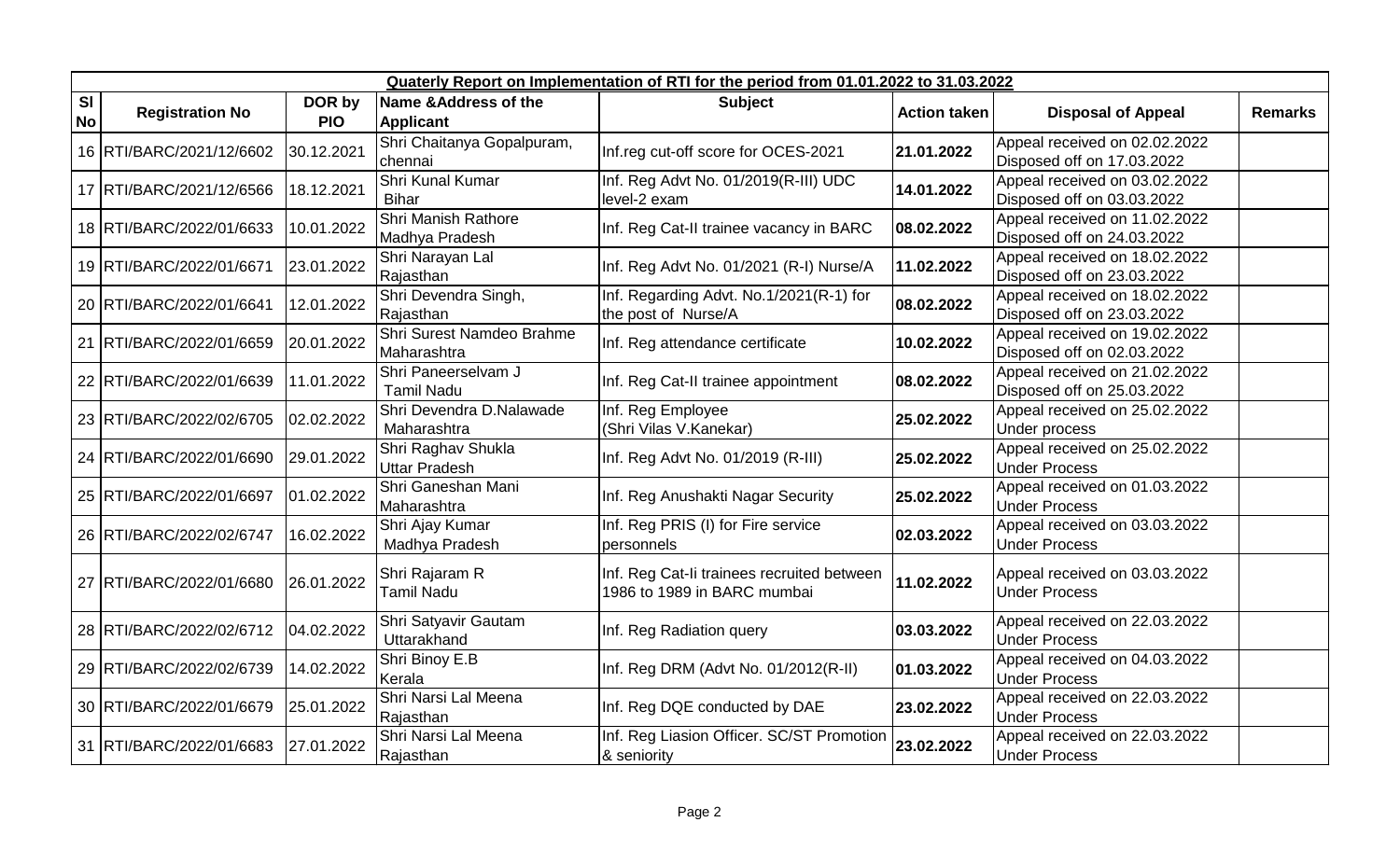|                        |                            | Quaterly Report on Implementation of RTI for the period from 01.01.2022 to 31.03.2022 |                                                      |                                                                           |                     |                                                             |                |  |  |  |  |  |  |
|------------------------|----------------------------|---------------------------------------------------------------------------------------|------------------------------------------------------|---------------------------------------------------------------------------|---------------------|-------------------------------------------------------------|----------------|--|--|--|--|--|--|
| <b>SI</b><br><b>No</b> | <b>Registration No</b>     | DOR by<br><b>PIO</b>                                                                  | <b>Name &amp; Address of the</b><br><b>Applicant</b> | <b>Subject</b>                                                            | <b>Action taken</b> | <b>Disposal of Appeal</b>                                   | <b>Remarks</b> |  |  |  |  |  |  |
|                        | 16 RTI/BARC/2021/12/6602   | 30.12.2021                                                                            | Shri Chaitanya Gopalpuram,<br>chennai                | Inf.reg cut-off score for OCES-2021                                       | 21.01.2022          | Appeal received on 02.02.2022<br>Disposed off on 17.03.2022 |                |  |  |  |  |  |  |
|                        | 17   RTI/BARC/2021/12/6566 | 18.12.2021                                                                            | Shri Kunal Kumar<br><b>Bihar</b>                     | Inf. Reg Advt No. 01/2019(R-III) UDC<br>level-2 exam                      | 14.01.2022          | Appeal received on 03.02.2022<br>Disposed off on 03.03.2022 |                |  |  |  |  |  |  |
|                        | 18 RTI/BARC/2022/01/6633   | 10.01.2022                                                                            | Shri Manish Rathore<br>Madhya Pradesh                | Inf. Reg Cat-II trainee vacancy in BARC                                   | 08.02.2022          | Appeal received on 11.02.2022<br>Disposed off on 24.03.2022 |                |  |  |  |  |  |  |
|                        | 19 RTI/BARC/2022/01/6671   | 23.01.2022                                                                            | Shri Narayan Lal<br>Rajasthan                        | Inf. Reg Advt No. 01/2021 (R-I) Nurse/A                                   | 11.02.2022          | Appeal received on 18.02.2022<br>Disposed off on 23.03.2022 |                |  |  |  |  |  |  |
|                        | 20 RTI/BARC/2022/01/6641   | 12.01.2022                                                                            | Shri Devendra Singh,<br>Rajasthan                    | Inf. Regarding Advt. No.1/2021(R-1) for<br>the post of Nurse/A            | 08.02.2022          | Appeal received on 18.02.2022<br>Disposed off on 23.03.2022 |                |  |  |  |  |  |  |
|                        | 21   RTI/BARC/2022/01/6659 | 20.01.2022                                                                            | Shri Surest Namdeo Brahme<br>Maharashtra             | Inf. Reg attendance certificate                                           | 10.02.2022          | Appeal received on 19.02.2022<br>Disposed off on 02.03.2022 |                |  |  |  |  |  |  |
|                        | 22 RTI/BARC/2022/01/6639   | 11.01.2022                                                                            | Shri Paneerselvam J<br><b>Tamil Nadu</b>             | Inf. Reg Cat-II trainee appointment                                       | 08.02.2022          | Appeal received on 21.02.2022<br>Disposed off on 25.03.2022 |                |  |  |  |  |  |  |
|                        | 23 RTI/BARC/2022/02/6705   | 02.02.2022                                                                            | Shri Devendra D.Nalawade<br>Maharashtra              | Inf. Reg Employee<br>(Shri Vilas V.Kanekar)                               | 25.02.2022          | Appeal received on 25.02.2022<br><b>Under process</b>       |                |  |  |  |  |  |  |
|                        | 24 RTI/BARC/2022/01/6690   | 29.01.2022                                                                            | Shri Raghav Shukla<br><b>Uttar Pradesh</b>           | Inf. Reg Advt No. 01/2019 (R-III)                                         | 25.02.2022          | Appeal received on 25.02.2022<br><b>Under Process</b>       |                |  |  |  |  |  |  |
|                        | 25 RTI/BARC/2022/01/6697   | 01.02.2022                                                                            | Shri Ganeshan Mani<br>Maharashtra                    | Inf. Reg Anushakti Nagar Security                                         | 25.02.2022          | Appeal received on 01.03.2022<br><b>Under Process</b>       |                |  |  |  |  |  |  |
|                        | 26 RTI/BARC/2022/02/6747   | 16.02.2022                                                                            | Shri Ajay Kumar<br>Madhya Pradesh                    | Inf. Reg PRIS (I) for Fire service<br>personnels                          | 02.03.2022          | Appeal received on 03.03.2022<br><b>Under Process</b>       |                |  |  |  |  |  |  |
|                        | 27 RTI/BARC/2022/01/6680   | 26.01.2022                                                                            | Shri Rajaram R<br><b>Tamil Nadu</b>                  | Inf. Reg Cat-li trainees recruited between<br>1986 to 1989 in BARC mumbai | 11.02.2022          | Appeal received on 03.03.2022<br><b>Under Process</b>       |                |  |  |  |  |  |  |
|                        | 28 RTI/BARC/2022/02/6712   | 04.02.2022                                                                            | Shri Satyavir Gautam<br>Uttarakhand                  | Inf. Reg Radiation query                                                  | 03.03.2022          | Appeal received on 22.03.2022<br><b>Under Process</b>       |                |  |  |  |  |  |  |
|                        | 29 RTI/BARC/2022/02/6739   | 14.02.2022                                                                            | Shri Binoy E.B<br>Kerala                             | Inf. Reg DRM (Advt No. 01/2012(R-II)                                      | 01.03.2022          | Appeal received on 04.03.2022<br><b>Under Process</b>       |                |  |  |  |  |  |  |
|                        | 30 RTI/BARC/2022/01/6679   | 25.01.2022                                                                            | Shri Narsi Lal Meena<br>Rajasthan                    | Inf. Reg DQE conducted by DAE                                             | 23.02.2022          | Appeal received on 22.03.2022<br><b>Under Process</b>       |                |  |  |  |  |  |  |
|                        | 31 RTI/BARC/2022/01/6683   | 27.01.2022                                                                            | Shri Narsi Lal Meena<br>Rajasthan                    | Inf. Reg Liasion Officer. SC/ST Promotion<br>& seniority                  | 23.02.2022          | Appeal received on 22.03.2022<br><b>Under Process</b>       |                |  |  |  |  |  |  |